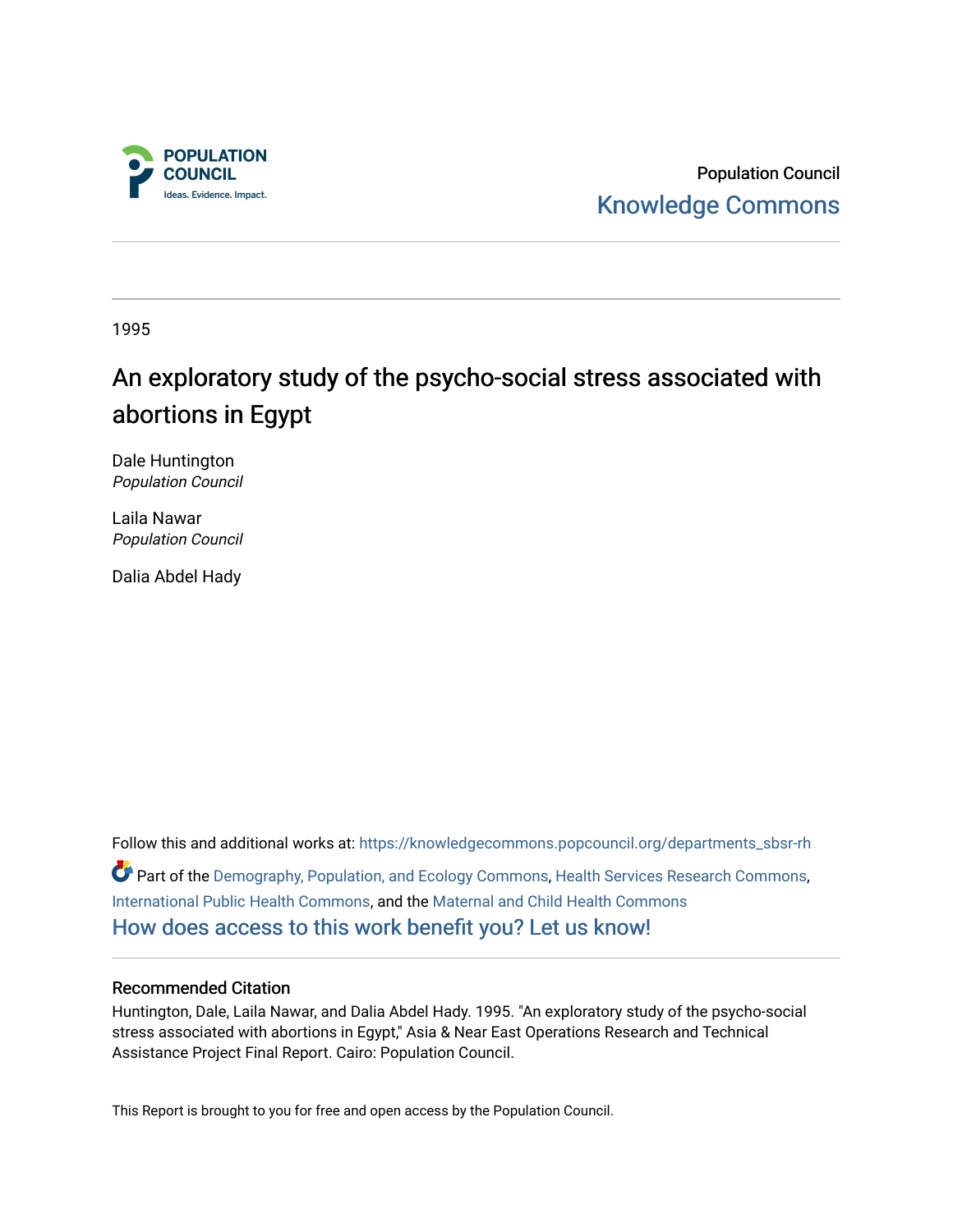

Population Council [Knowledge Commons](https://knowledgecommons.popcouncil.org/) 

1995

# An exploratory study of the psycho-social stress associated with abortions in Egypt

Dale Huntington Population Council

Laila Nawar Population Council

Dalia Abdel Hady

Follow this and additional works at: [https://knowledgecommons.popcouncil.org/departments\\_sbsr-rh](https://knowledgecommons.popcouncil.org/departments_sbsr-rh?utm_source=knowledgecommons.popcouncil.org%2Fdepartments_sbsr-rh%2F2092&utm_medium=PDF&utm_campaign=PDFCoverPages)  Part of the [Demography, Population, and Ecology Commons,](https://network.bepress.com/hgg/discipline/418?utm_source=knowledgecommons.popcouncil.org%2Fdepartments_sbsr-rh%2F2092&utm_medium=PDF&utm_campaign=PDFCoverPages) [Health Services Research Commons,](https://network.bepress.com/hgg/discipline/816?utm_source=knowledgecommons.popcouncil.org%2Fdepartments_sbsr-rh%2F2092&utm_medium=PDF&utm_campaign=PDFCoverPages) [International Public Health Commons](https://network.bepress.com/hgg/discipline/746?utm_source=knowledgecommons.popcouncil.org%2Fdepartments_sbsr-rh%2F2092&utm_medium=PDF&utm_campaign=PDFCoverPages), and the [Maternal and Child Health Commons](https://network.bepress.com/hgg/discipline/745?utm_source=knowledgecommons.popcouncil.org%2Fdepartments_sbsr-rh%2F2092&utm_medium=PDF&utm_campaign=PDFCoverPages)  [How does access to this work benefit you? Let us know!](https://pcouncil.wufoo.com/forms/open-access-to-population-council-research/)

#### Recommended Citation

Huntington, Dale, Laila Nawar, and Dalia Abdel Hady. 1995. "An exploratory study of the psycho-social stress associated with abortions in Egypt," Asia & Near East Operations Research and Technical Assistance Project Final Report. Cairo: Population Council.

This Report is brought to you for free and open access by the Population Council.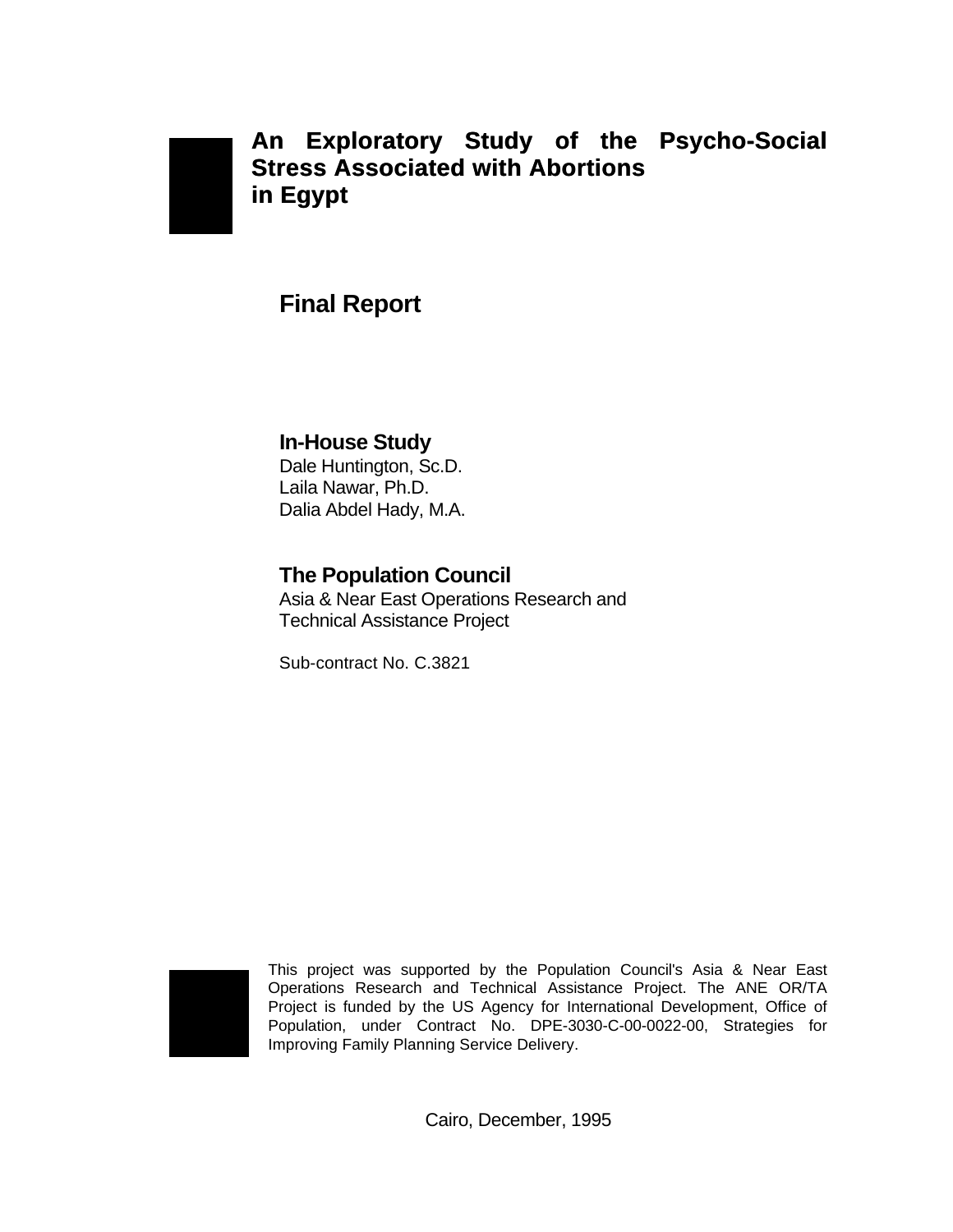

### **An Exploratory Study of the Psycho-Social Stress Associated with Abortions in Egypt**

### **Final Report**

#### **In-House Study** Dale Huntington, Sc.D. Laila Nawar, Ph.D. Dalia Abdel Hady, M.A.

### **The Population Council**

Asia & Near East Operations Research and Technical Assistance Project

Sub-contract No. C.3821



This project was supported by the Population Council's Asia & Near East Operations Research and Technical Assistance Project. The ANE OR/TA Project is funded by the US Agency for International Development, Office of Population, under Contract No. DPE-3030-C-00-0022-00, Strategies for Improving Family Planning Service Delivery.

Cairo, December, 1995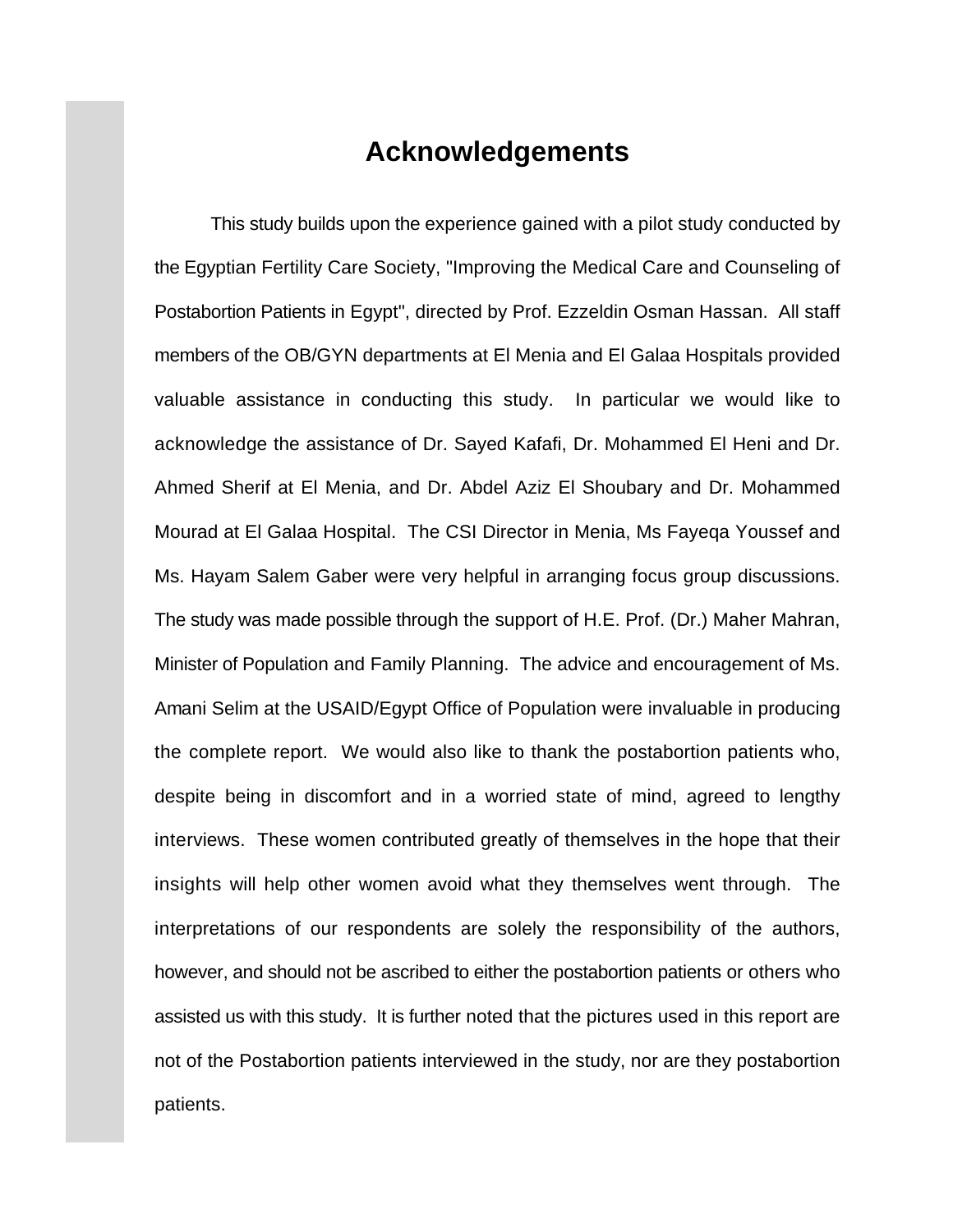### **Acknowledgements**

This study builds upon the experience gained with a pilot study conducted by the Egyptian Fertility Care Society, "Improving the Medical Care and Counseling of Postabortion Patients in Egypt", directed by Prof. Ezzeldin Osman Hassan. All staff members of the OB/GYN departments at El Menia and El Galaa Hospitals provided valuable assistance in conducting this study. In particular we would like to acknowledge the assistance of Dr. Sayed Kafafi, Dr. Mohammed El Heni and Dr. Ahmed Sherif at El Menia, and Dr. Abdel Aziz El Shoubary and Dr. Mohammed Mourad at El Galaa Hospital. The CSI Director in Menia, Ms Fayeqa Youssef and Ms. Hayam Salem Gaber were very helpful in arranging focus group discussions. The study was made possible through the support of H.E. Prof. (Dr.) Maher Mahran, Minister of Population and Family Planning. The advice and encouragement of Ms. Amani Selim at the USAID/Egypt Office of Population were invaluable in producing the complete report. We would also like to thank the postabortion patients who, despite being in discomfort and in a worried state of mind, agreed to lengthy interviews. These women contributed greatly of themselves in the hope that their insights will help other women avoid what they themselves went through. The interpretations of our respondents are solely the responsibility of the authors, however, and should not be ascribed to either the postabortion patients or others who assisted us with this study. It is further noted that the pictures used in this report are not of the Postabortion patients interviewed in the study, nor are they postabortion patients.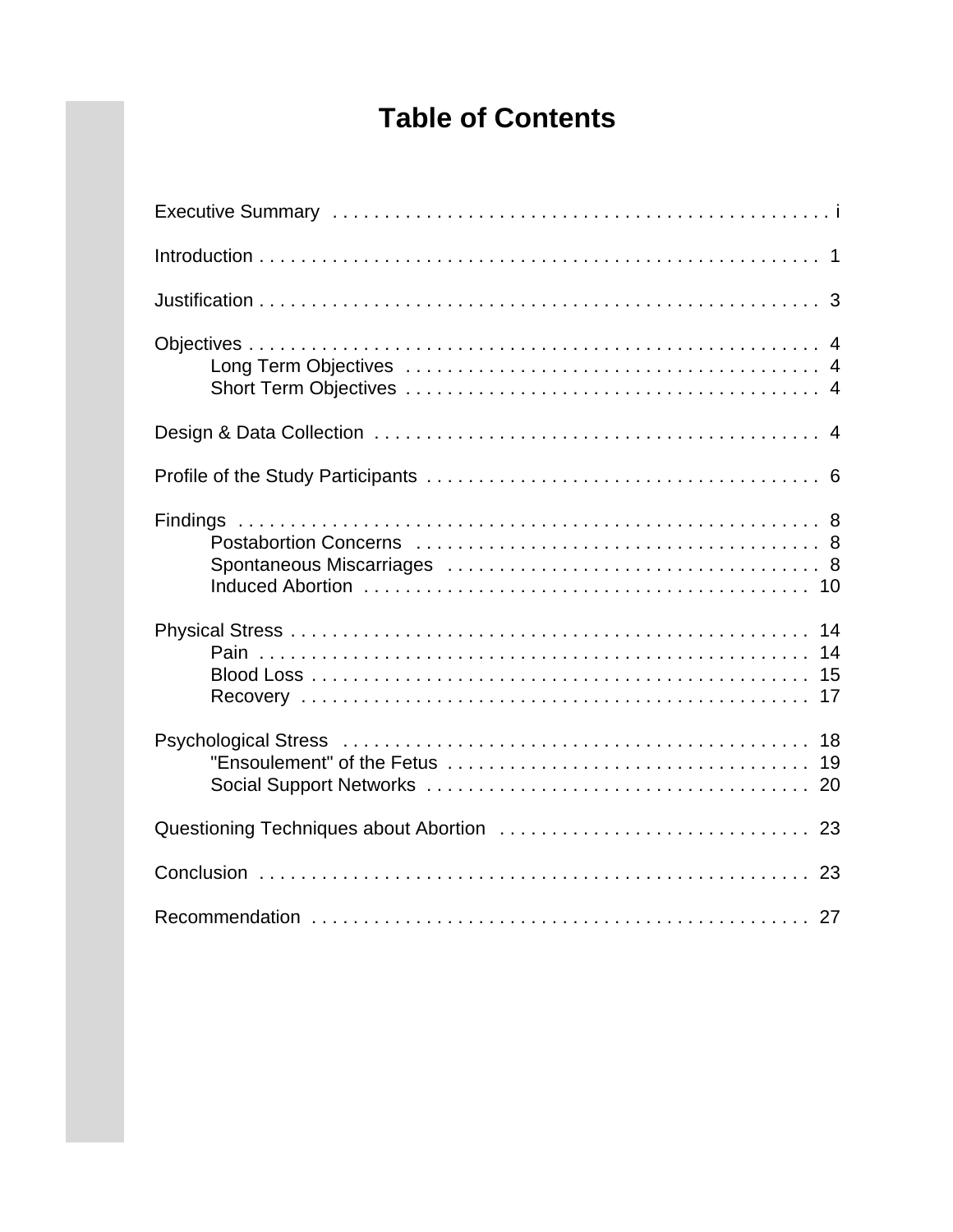# **Table of Contents**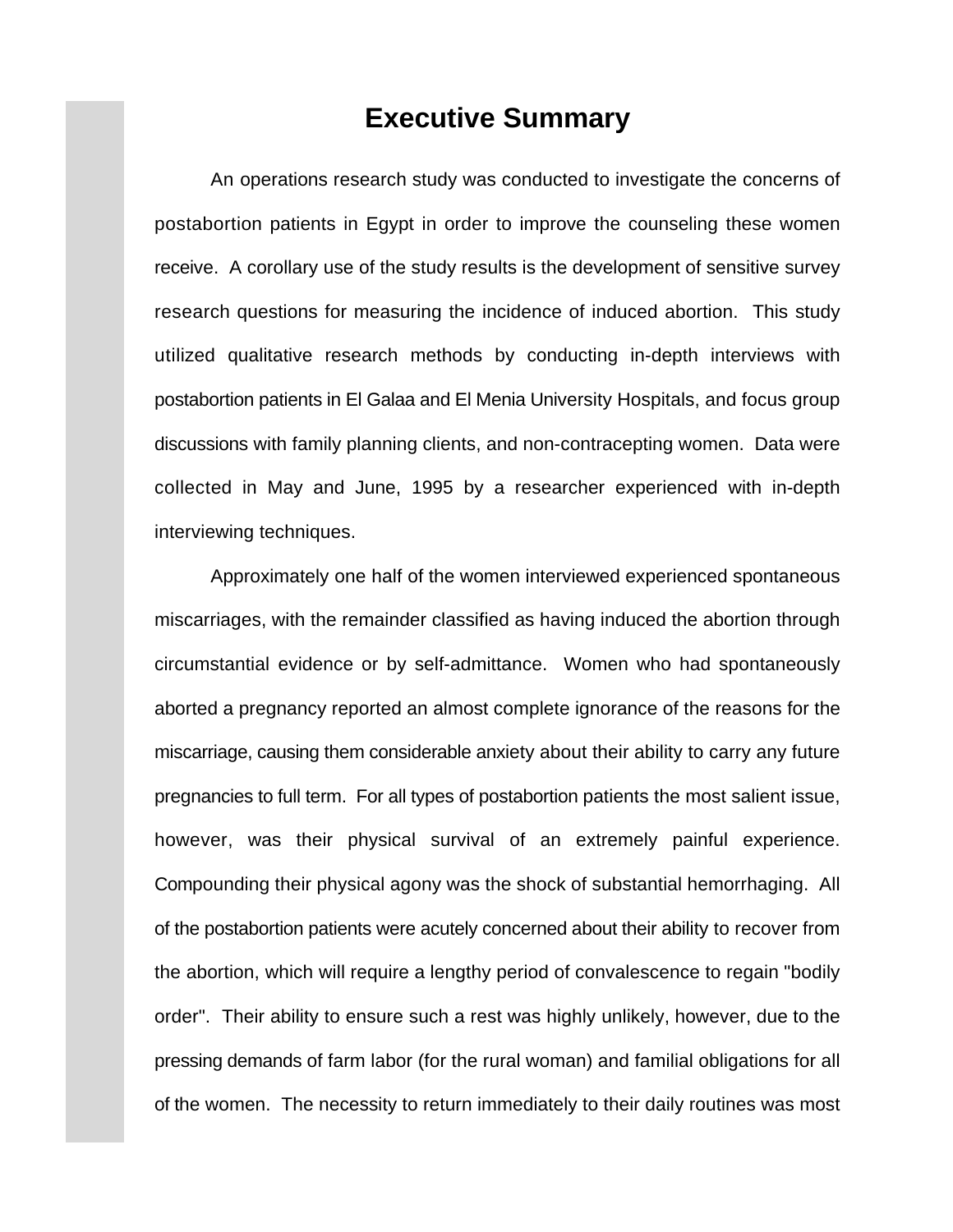### **Executive Summary**

An operations research study was conducted to investigate the concerns of postabortion patients in Egypt in order to improve the counseling these women receive. A corollary use of the study results is the development of sensitive survey research questions for measuring the incidence of induced abortion. This study utilized qualitative research methods by conducting in-depth interviews with postabortion patients in El Galaa and El Menia University Hospitals, and focus group discussions with family planning clients, and non-contracepting women. Data were collected in May and June, 1995 by a researcher experienced with in-depth interviewing techniques.

Approximately one half of the women interviewed experienced spontaneous miscarriages, with the remainder classified as having induced the abortion through circumstantial evidence or by self-admittance. Women who had spontaneously aborted a pregnancy reported an almost complete ignorance of the reasons for the miscarriage, causing them considerable anxiety about their ability to carry any future pregnancies to full term. For all types of postabortion patients the most salient issue, however, was their physical survival of an extremely painful experience. Compounding their physical agony was the shock of substantial hemorrhaging. All of the postabortion patients were acutely concerned about their ability to recover from the abortion, which will require a lengthy period of convalescence to regain "bodily order". Their ability to ensure such a rest was highly unlikely, however, due to the pressing demands of farm labor (for the rural woman) and familial obligations for all of the women. The necessity to return immediately to their daily routines was most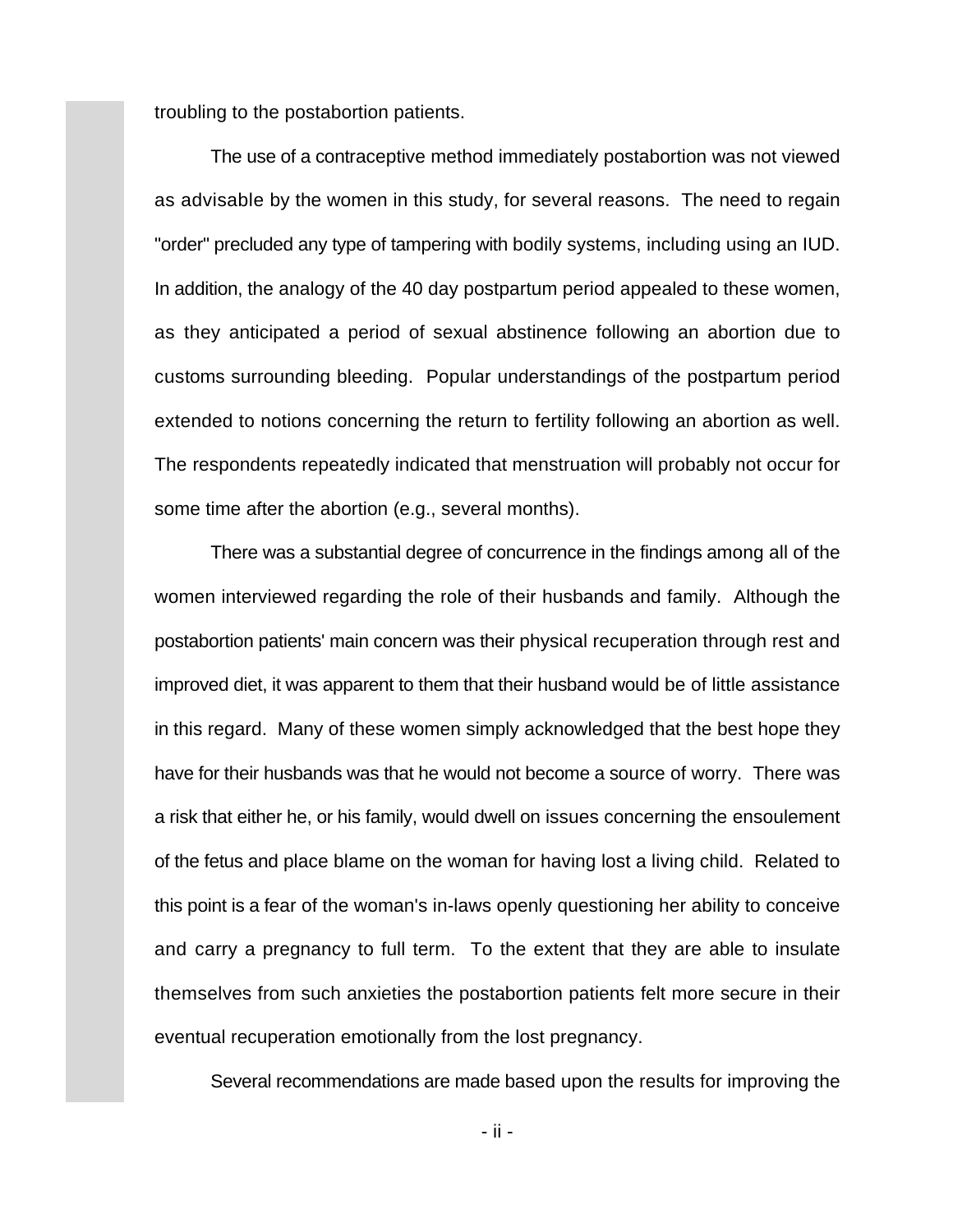troubling to the postabortion patients.

The use of a contraceptive method immediately postabortion was not viewed as advisable by the women in this study, for several reasons. The need to regain "order" precluded any type of tampering with bodily systems, including using an IUD. In addition, the analogy of the 40 day postpartum period appealed to these women, as they anticipated a period of sexual abstinence following an abortion due to customs surrounding bleeding. Popular understandings of the postpartum period extended to notions concerning the return to fertility following an abortion as well. The respondents repeatedly indicated that menstruation will probably not occur for some time after the abortion (e.g., several months).

There was a substantial degree of concurrence in the findings among all of the women interviewed regarding the role of their husbands and family. Although the postabortion patients' main concern was their physical recuperation through rest and improved diet, it was apparent to them that their husband would be of little assistance in this regard. Many of these women simply acknowledged that the best hope they have for their husbands was that he would not become a source of worry. There was a risk that either he, or his family, would dwell on issues concerning the ensoulement of the fetus and place blame on the woman for having lost a living child. Related to this point is a fear of the woman's in-laws openly questioning her ability to conceive and carry a pregnancy to full term. To the extent that they are able to insulate themselves from such anxieties the postabortion patients felt more secure in their eventual recuperation emotionally from the lost pregnancy.

Several recommendations are made based upon the results for improving the

- ii -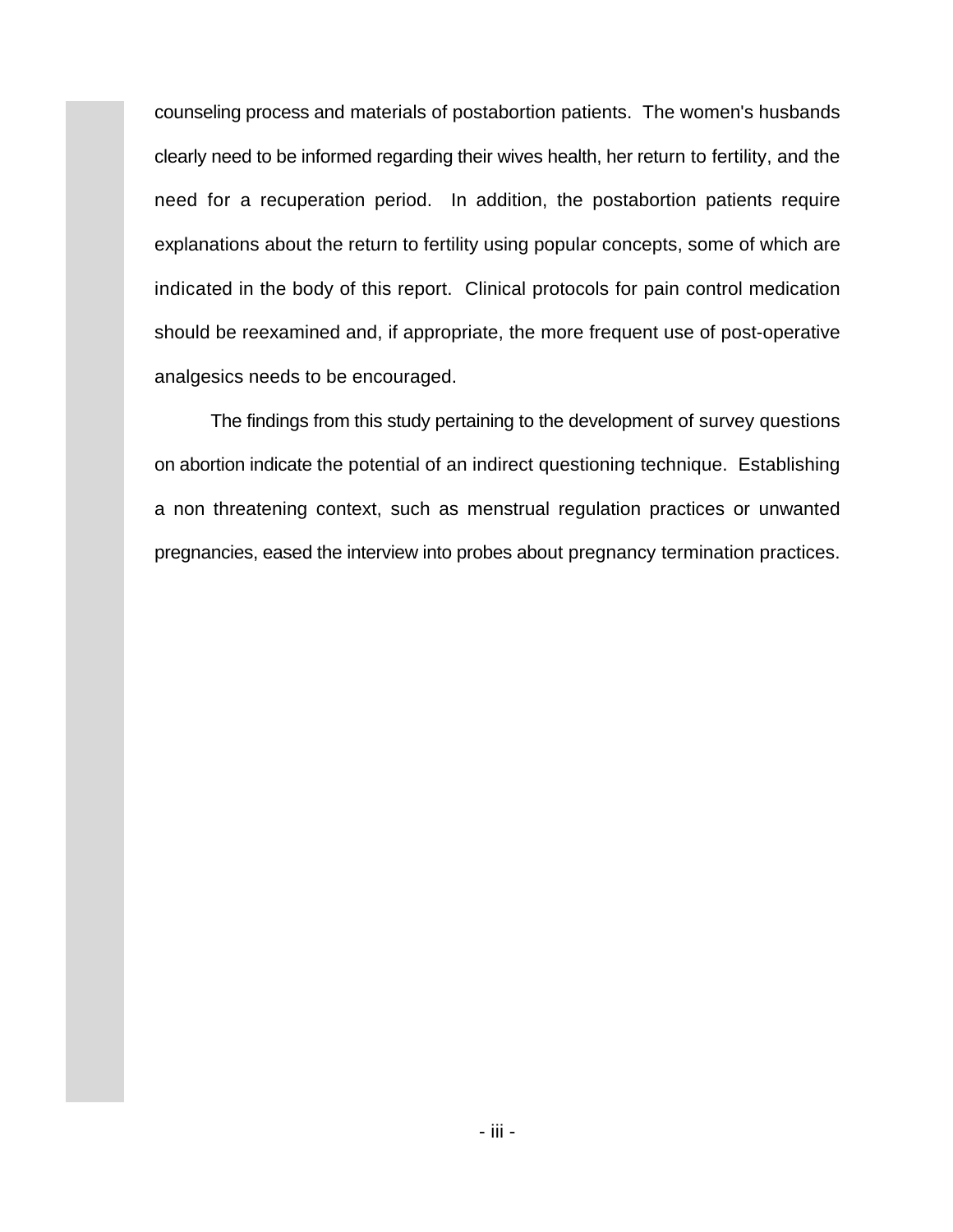counseling process and materials of postabortion patients. The women's husbands clearly need to be informed regarding their wives health, her return to fertility, and the need for a recuperation period. In addition, the postabortion patients require explanations about the return to fertility using popular concepts, some of which are indicated in the body of this report. Clinical protocols for pain control medication should be reexamined and, if appropriate, the more frequent use of post-operative analgesics needs to be encouraged.

The findings from this study pertaining to the development of survey questions on abortion indicate the potential of an indirect questioning technique. Establishing a non threatening context, such as menstrual regulation practices or unwanted pregnancies, eased the interview into probes about pregnancy termination practices.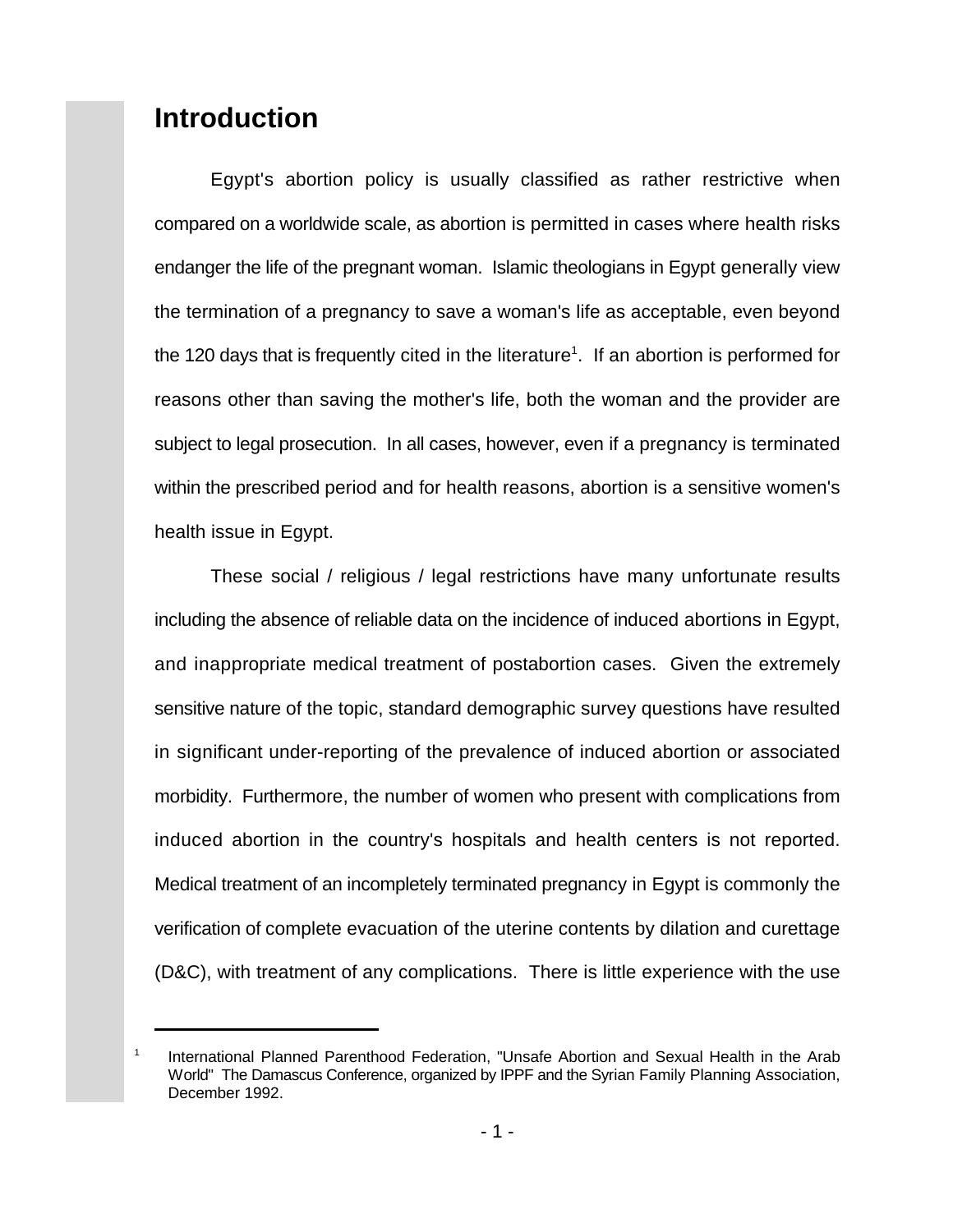## **Introduction**

1

Egypt's abortion policy is usually classified as rather restrictive when compared on a worldwide scale, as abortion is permitted in cases where health risks endanger the life of the pregnant woman. Islamic theologians in Egypt generally view the termination of a pregnancy to save a woman's life as acceptable, even beyond the 120 days that is frequently cited in the literature<sup>1</sup>. If an abortion is performed for reasons other than saving the mother's life, both the woman and the provider are subject to legal prosecution. In all cases, however, even if a pregnancy is terminated within the prescribed period and for health reasons, abortion is a sensitive women's health issue in Egypt.

These social / religious / legal restrictions have many unfortunate results including the absence of reliable data on the incidence of induced abortions in Egypt, and inappropriate medical treatment of postabortion cases. Given the extremely sensitive nature of the topic, standard demographic survey questions have resulted in significant under-reporting of the prevalence of induced abortion or associated morbidity. Furthermore, the number of women who present with complications from induced abortion in the country's hospitals and health centers is not reported. Medical treatment of an incompletely terminated pregnancy in Egypt is commonly the verification of complete evacuation of the uterine contents by dilation and curettage (D&C), with treatment of any complications. There is little experience with the use

International Planned Parenthood Federation, "Unsafe Abortion and Sexual Health in the Arab World" The Damascus Conference, organized by IPPF and the Syrian Family Planning Association, December 1992.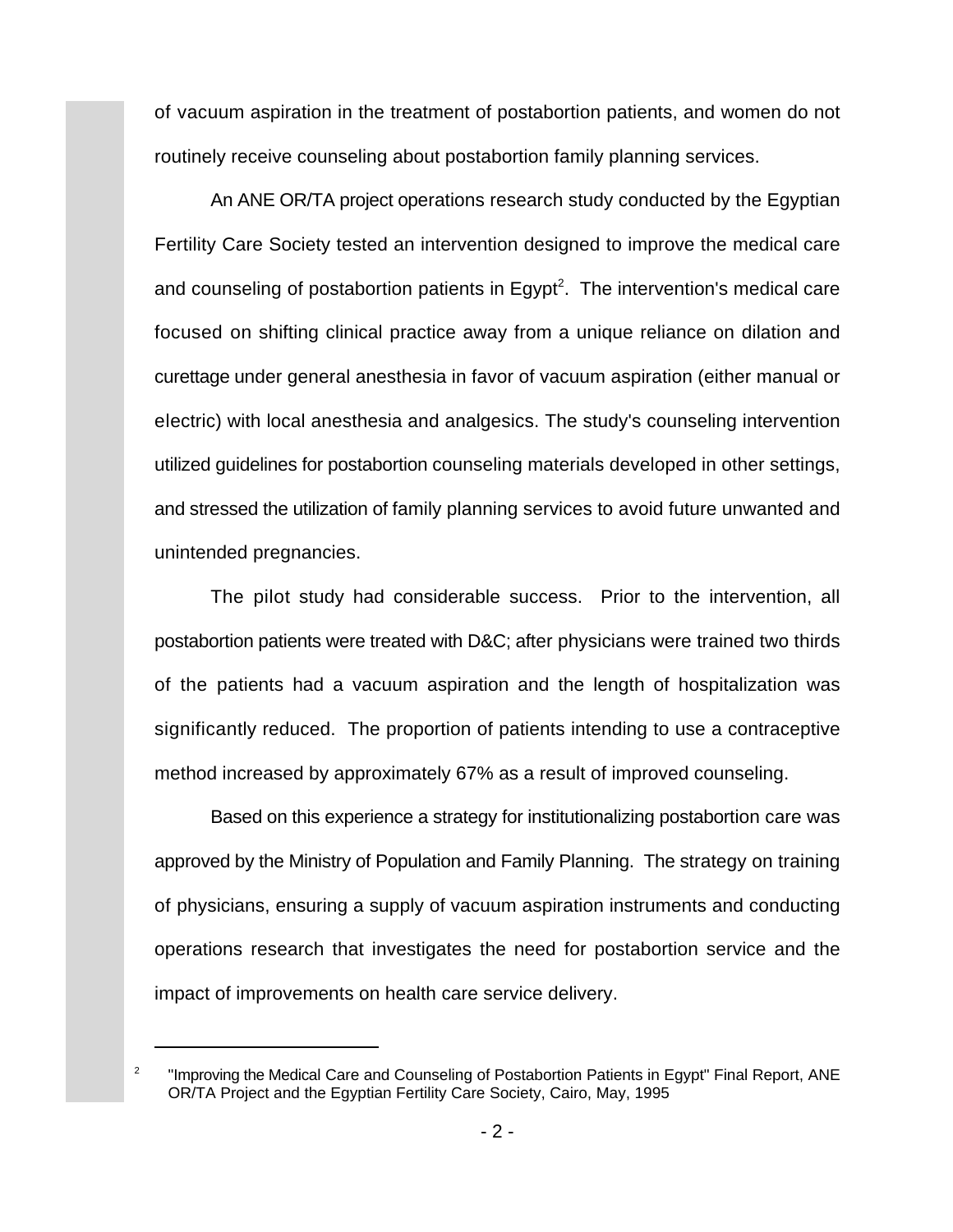of vacuum aspiration in the treatment of postabortion patients, and women do not routinely receive counseling about postabortion family planning services.

An ANE OR/TA project operations research study conducted by the Egyptian Fertility Care Society tested an intervention designed to improve the medical care and counseling of postabortion patients in Egypt<sup>2</sup>. The intervention's medical care focused on shifting clinical practice away from a unique reliance on dilation and curettage under general anesthesia in favor of vacuum aspiration (either manual or electric) with local anesthesia and analgesics. The study's counseling intervention utilized guidelines for postabortion counseling materials developed in other settings, and stressed the utilization of family planning services to avoid future unwanted and unintended pregnancies.

The pilot study had considerable success. Prior to the intervention, all postabortion patients were treated with D&C; after physicians were trained two thirds of the patients had a vacuum aspiration and the length of hospitalization was significantly reduced. The proportion of patients intending to use a contraceptive method increased by approximately 67% as a result of improved counseling.

Based on this experience a strategy for institutionalizing postabortion care was approved by the Ministry of Population and Family Planning. The strategy on training of physicians, ensuring a supply of vacuum aspiration instruments and conducting operations research that investigates the need for postabortion service and the impact of improvements on health care service delivery.

 $\degree$  "Improving the Medical Care and Counseling of Postabortion Patients in Egypt" Final Report, ANE OR/TA Project and the Egyptian Fertility Care Society, Cairo, May, 1995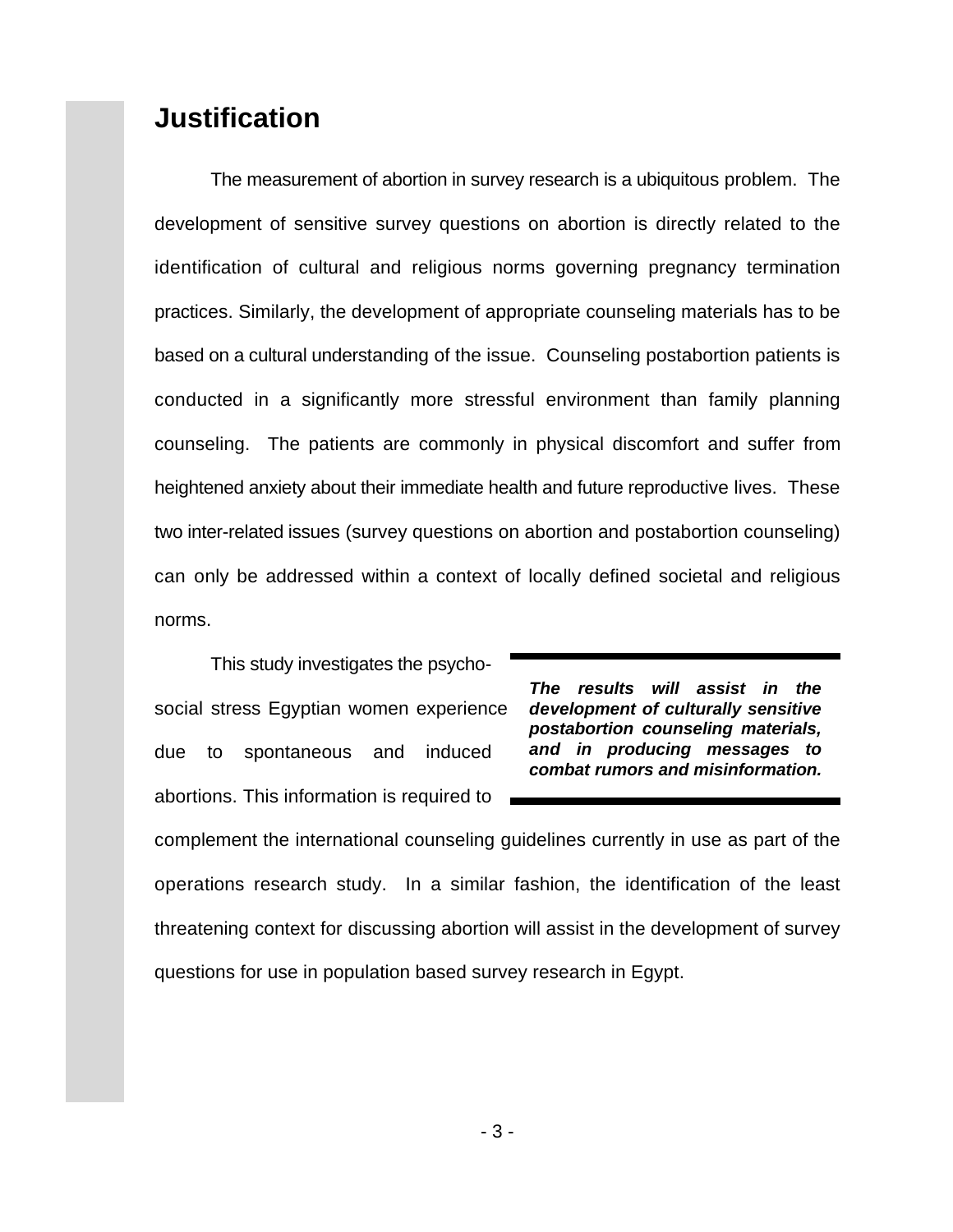### **Justification**

The measurement of abortion in survey research is a ubiquitous problem. The development of sensitive survey questions on abortion is directly related to the identification of cultural and religious norms governing pregnancy termination practices. Similarly, the development of appropriate counseling materials has to be based on a cultural understanding of the issue. Counseling postabortion patients is conducted in a significantly more stressful environment than family planning counseling. The patients are commonly in physical discomfort and suffer from heightened anxiety about their immediate health and future reproductive lives. These two inter-related issues (survey questions on abortion and postabortion counseling) can only be addressed within a context of locally defined societal and religious norms.

This study investigates the psychosocial stress Egyptian women experience due to spontaneous and induced abortions. This information is required to

*The results will assist in the development of culturally sensitive postabortion counseling materials, and in producing messages to combat rumors and misinformation.*

complement the international counseling guidelines currently in use as part of the operations research study. In a similar fashion, the identification of the least threatening context for discussing abortion will assist in the development of survey questions for use in population based survey research in Egypt.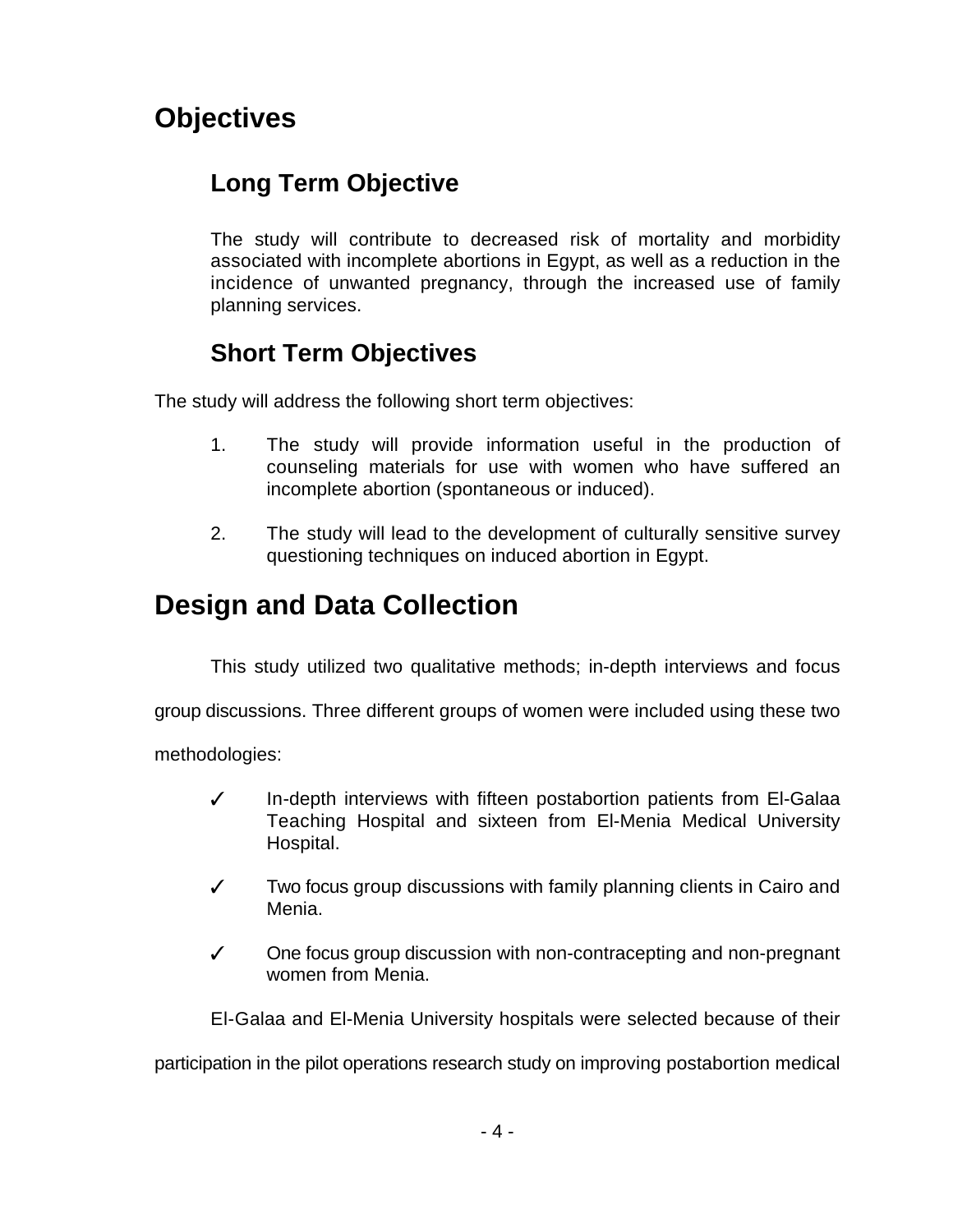# **Objectives**

## **Long Term Objective**

The study will contribute to decreased risk of mortality and morbidity associated with incomplete abortions in Egypt, as well as a reduction in the incidence of unwanted pregnancy, through the increased use of family planning services.

## **Short Term Objectives**

The study will address the following short term objectives:

- 1. The study will provide information useful in the production of counseling materials for use with women who have suffered an incomplete abortion (spontaneous or induced).
- 2. The study will lead to the development of culturally sensitive survey questioning techniques on induced abortion in Egypt.

# **Design and Data Collection**

This study utilized two qualitative methods; in-depth interviews and focus

group discussions. Three different groups of women were included using these two

methodologies:

- $\checkmark$  In-depth interviews with fifteen postabortion patients from El-Galaa Teaching Hospital and sixteen from El-Menia Medical University Hospital.
- $\checkmark$  Two focus group discussions with family planning clients in Cairo and Menia.
- $\checkmark$  One focus group discussion with non-contracepting and non-pregnant women from Menia.

El-Galaa and El-Menia University hospitals were selected because of their

participation in the pilot operations research study on improving postabortion medical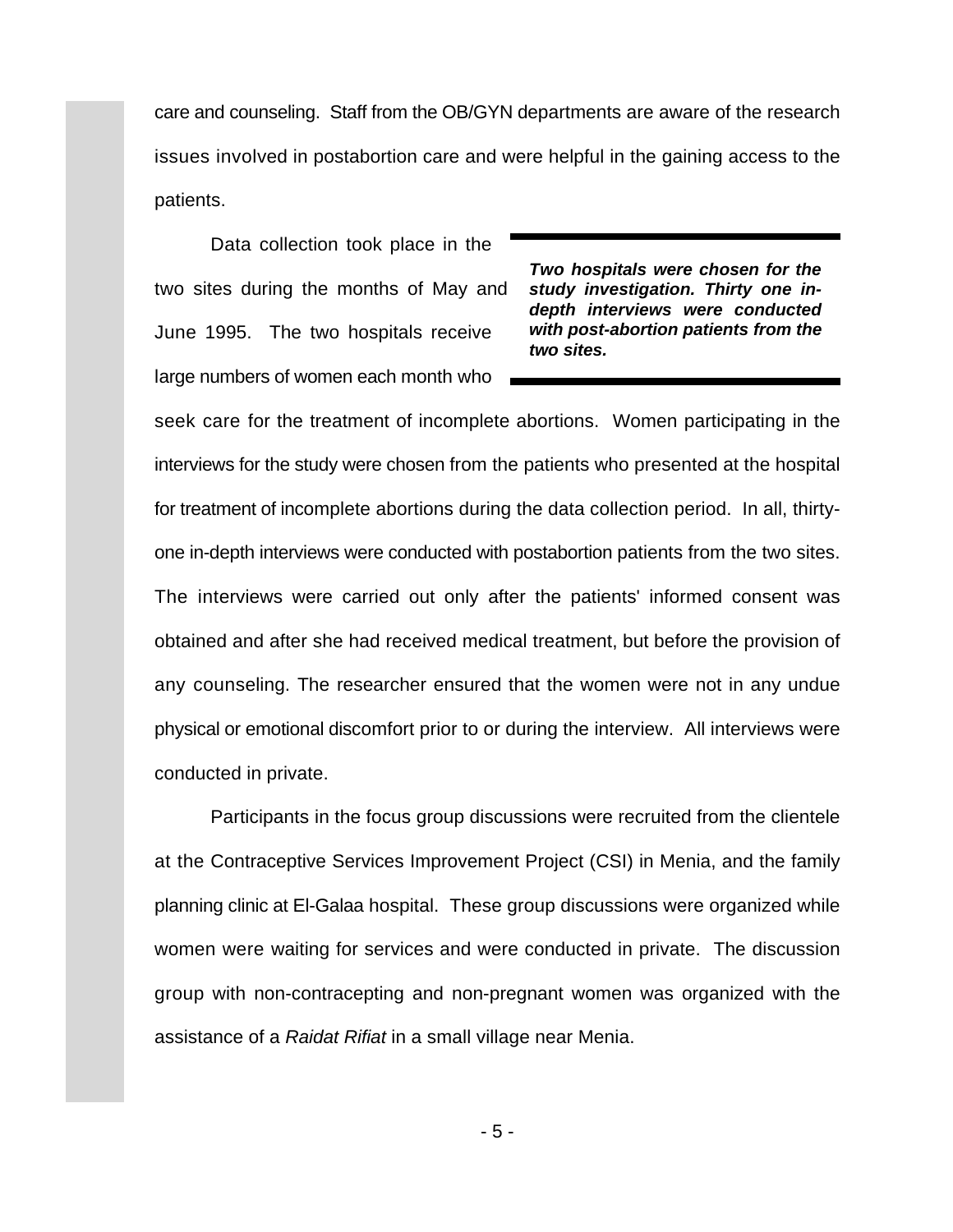care and counseling. Staff from the OB/GYN departments are aware of the research issues involved in postabortion care and were helpful in the gaining access to the patients.

Data collection took place in the two sites during the months of May and June 1995. The two hospitals receive large numbers of women each month who

*Two hospitals were chosen for the study investigation. Thirty one indepth interviews were conducted with post-abortion patients from the two sites.*

seek care for the treatment of incomplete abortions. Women participating in the interviews for the study were chosen from the patients who presented at the hospital for treatment of incomplete abortions during the data collection period. In all, thirtyone in-depth interviews were conducted with postabortion patients from the two sites. The interviews were carried out only after the patients' informed consent was obtained and after she had received medical treatment, but before the provision of any counseling. The researcher ensured that the women were not in any undue physical or emotional discomfort prior to or during the interview. All interviews were conducted in private.

Participants in the focus group discussions were recruited from the clientele at the Contraceptive Services Improvement Project (CSI) in Menia, and the family planning clinic at El-Galaa hospital. These group discussions were organized while women were waiting for services and were conducted in private. The discussion group with non-contracepting and non-pregnant women was organized with the assistance of a *Raidat Rifiat* in a small village near Menia.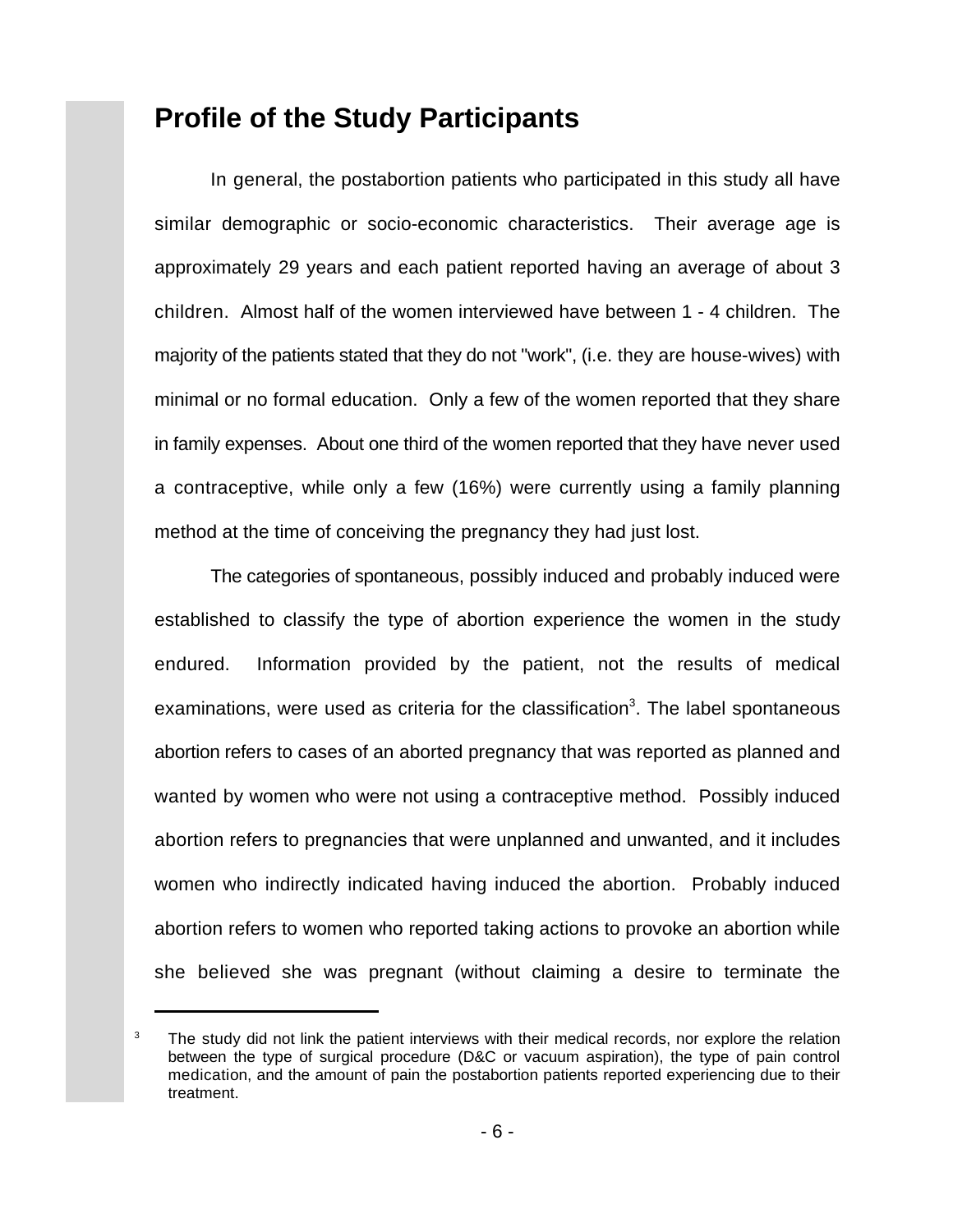### **Profile of the Study Participants**

In general, the postabortion patients who participated in this study all have similar demographic or socio-economic characteristics. Their average age is approximately 29 years and each patient reported having an average of about 3 children. Almost half of the women interviewed have between 1 - 4 children. The majority of the patients stated that they do not "work", (i.e. they are house-wives) with minimal or no formal education. Only a few of the women reported that they share in family expenses. About one third of the women reported that they have never used a contraceptive, while only a few (16%) were currently using a family planning method at the time of conceiving the pregnancy they had just lost.

The categories of spontaneous, possibly induced and probably induced were established to classify the type of abortion experience the women in the study endured. Information provided by the patient, not the results of medical examinations, were used as criteria for the classification<sup>3</sup>. The label spontaneous abortion refers to cases of an aborted pregnancy that was reported as planned and wanted by women who were not using a contraceptive method. Possibly induced abortion refers to pregnancies that were unplanned and unwanted, and it includes women who indirectly indicated having induced the abortion. Probably induced abortion refers to women who reported taking actions to provoke an abortion while she believed she was pregnant (without claiming a desire to terminate the

The study did not link the patient interviews with their medical records, nor explore the relation 3 between the type of surgical procedure (D&C or vacuum aspiration), the type of pain control medication, and the amount of pain the postabortion patients reported experiencing due to their treatment.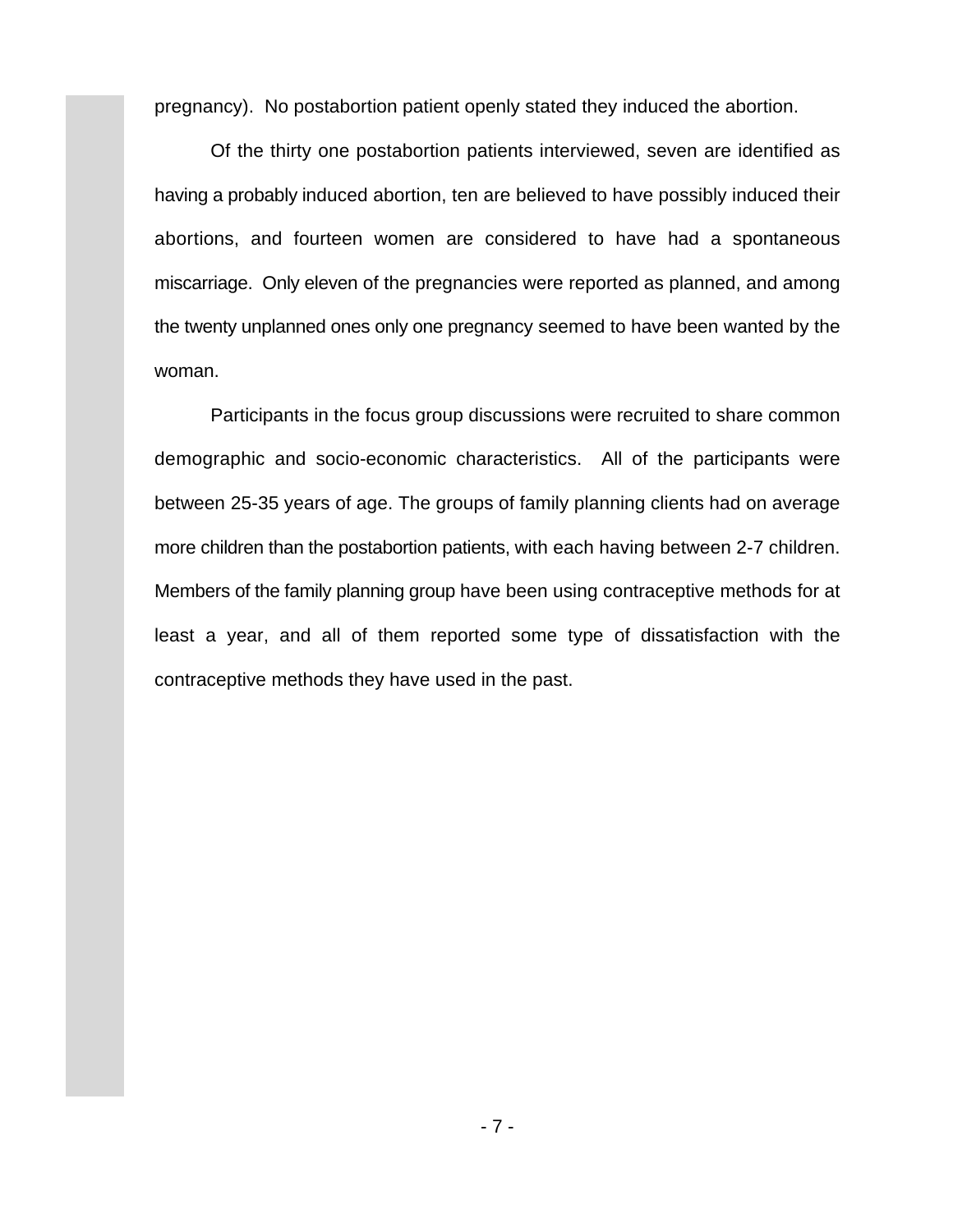pregnancy). No postabortion patient openly stated they induced the abortion.

Of the thirty one postabortion patients interviewed, seven are identified as having a probably induced abortion, ten are believed to have possibly induced their abortions, and fourteen women are considered to have had a spontaneous miscarriage. Only eleven of the pregnancies were reported as planned, and among the twenty unplanned ones only one pregnancy seemed to have been wanted by the woman.

Participants in the focus group discussions were recruited to share common demographic and socio-economic characteristics. All of the participants were between 25-35 years of age. The groups of family planning clients had on average more children than the postabortion patients, with each having between 2-7 children. Members of the family planning group have been using contraceptive methods for at least a year, and all of them reported some type of dissatisfaction with the contraceptive methods they have used in the past.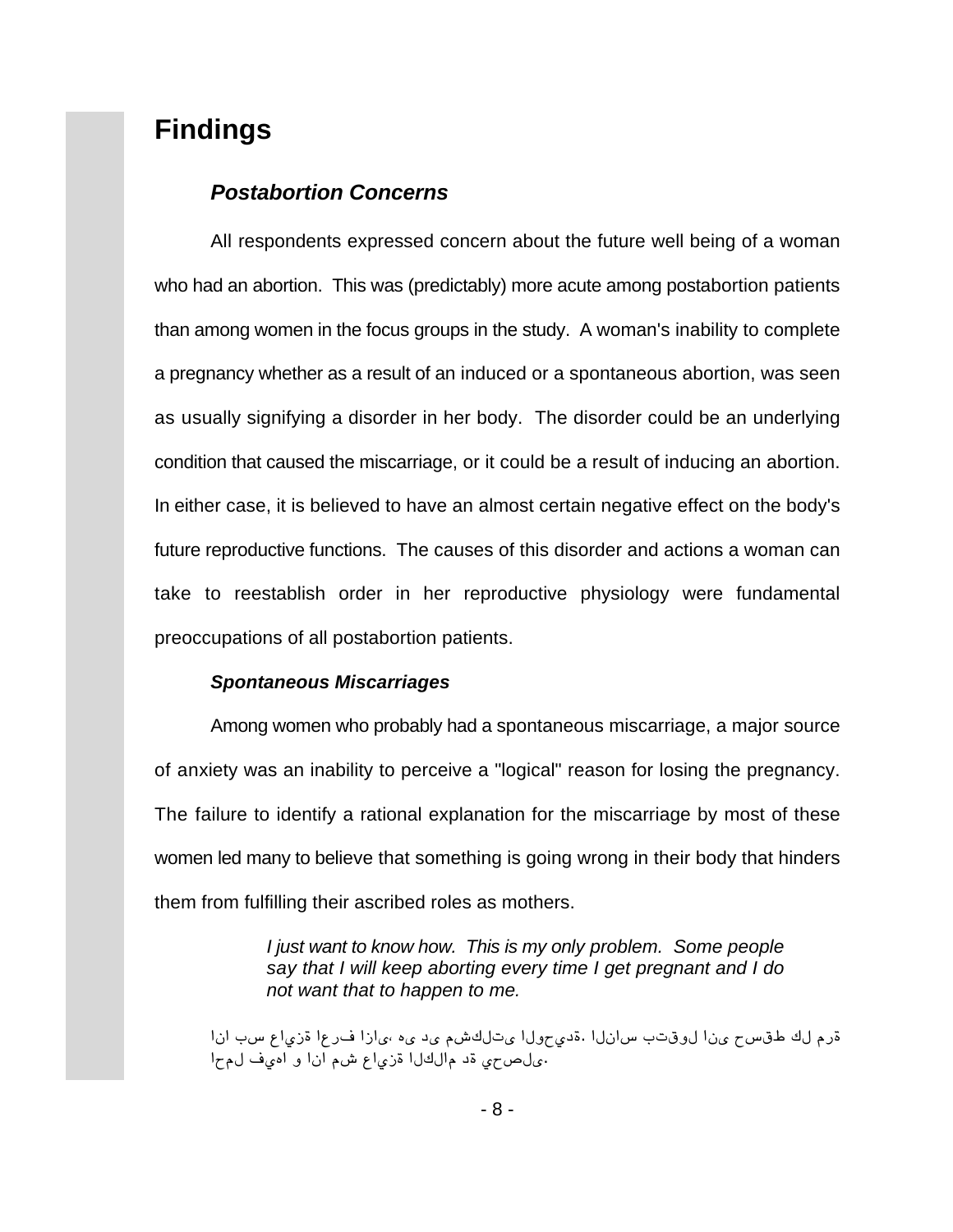## **Findings**

#### *Postabortion Concerns*

All respondents expressed concern about the future well being of a woman who had an abortion. This was (predictably) more acute among postabortion patients than among women in the focus groups in the study. A woman's inability to complete a pregnancy whether as a result of an induced or a spontaneous abortion, was seen as usually signifying a disorder in her body. The disorder could be an underlying condition that caused the miscarriage, or it could be a result of inducing an abortion. In either case, it is believed to have an almost certain negative effect on the body's future reproductive functions. The causes of this disorder and actions a woman can take to reestablish order in her reproductive physiology were fundamental preoccupations of all postabortion patients.

#### *Spontaneous Miscarriages*

Among women who probably had a spontaneous miscarriage, a major source of anxiety was an inability to perceive a "logical" reason for losing the pregnancy. The failure to identify a rational explanation for the miscarriage by most of these women led many to believe that something is going wrong in their body that hinders them from fulfilling their ascribed roles as mothers.

> *I just want to know how. This is my only problem. Some people say that I will keep aborting every time I get pregnant and I do not want that to happen to me.*

قرم لك طقس <sub>كون</sub>ا لوقتب سانلا .قدى ولل يتلكشم ي دي مي إزا فرعا قزياع سب انا وياص حي قد مالكل اقزى اع شم ان او اميف لمح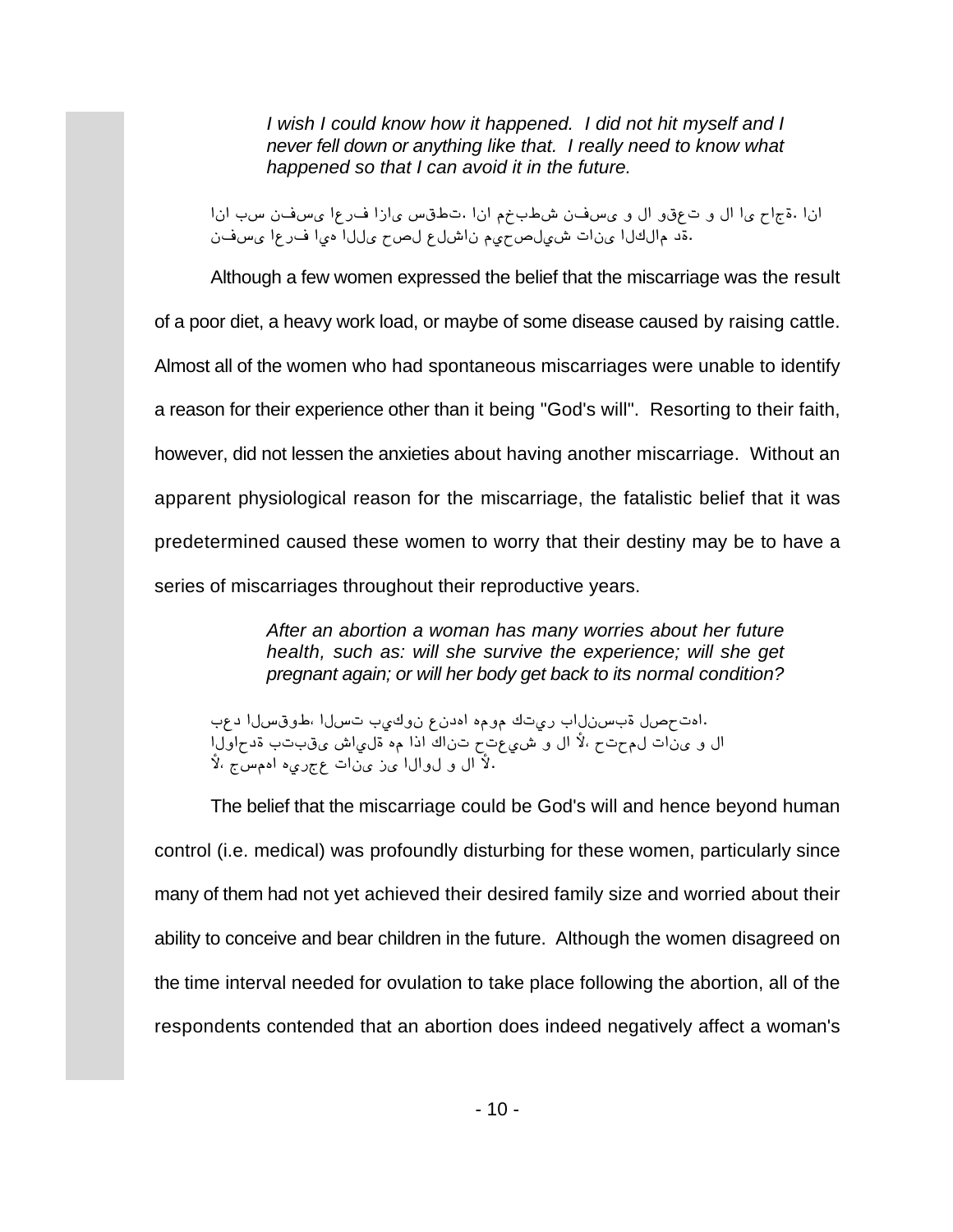*I wish I could know how it happened. I did not hit myself and I never fell down or anything like that. I really need to know what happened so that I can avoid it in the future.*

[ن| .قجاح ى الل و ت عقو ال و ىس ف ن ش طب خم ان ا .ت طقس ى ازا ف رع ا ى س ف ن سب ان ا ڏو مالكالا ينات شيلص <sub>ك</sub>يم ناشل علص سيللا مي اف رعا يسفن.

Although a few women expressed the belief that the miscarriage was the result of a poor diet, a heavy work load, or maybe of some disease caused by raising cattle. Almost all of the women who had spontaneous miscarriages were unable to identify a reason for their experience other than it being "God's will". Resorting to their faith, however, did not lessen the anxieties about having another miscarriage. Without an apparent physiological reason for the miscarriage, the fatalistic belief that it was predetermined caused these women to worry that their destiny may be to have a series of miscarriages throughout their reproductive years.

> *After an abortion a woman has many worries about her future health, such as: will she survive the experience; will she get pregnant again; or will her body get back to its normal condition?*

اهت مصل قبسنلاب ريتك مومه اددن ع نوكيب تسلل اطوقسلا دعب. ال و ينات لم حتح ،لأ ال و شيعتح تناك اذا مه ةلي اش يقبتب ةدحاولا لاً ال و لوال أين ي أت عجري ه اممس ج ،لاً

The belief that the miscarriage could be God's will and hence beyond human control (i.e. medical) was profoundly disturbing for these women, particularly since many of them had not yet achieved their desired family size and worried about their ability to conceive and bear children in the future. Although the women disagreed on the time interval needed for ovulation to take place following the abortion, all of the respondents contended that an abortion does indeed negatively affect a woman's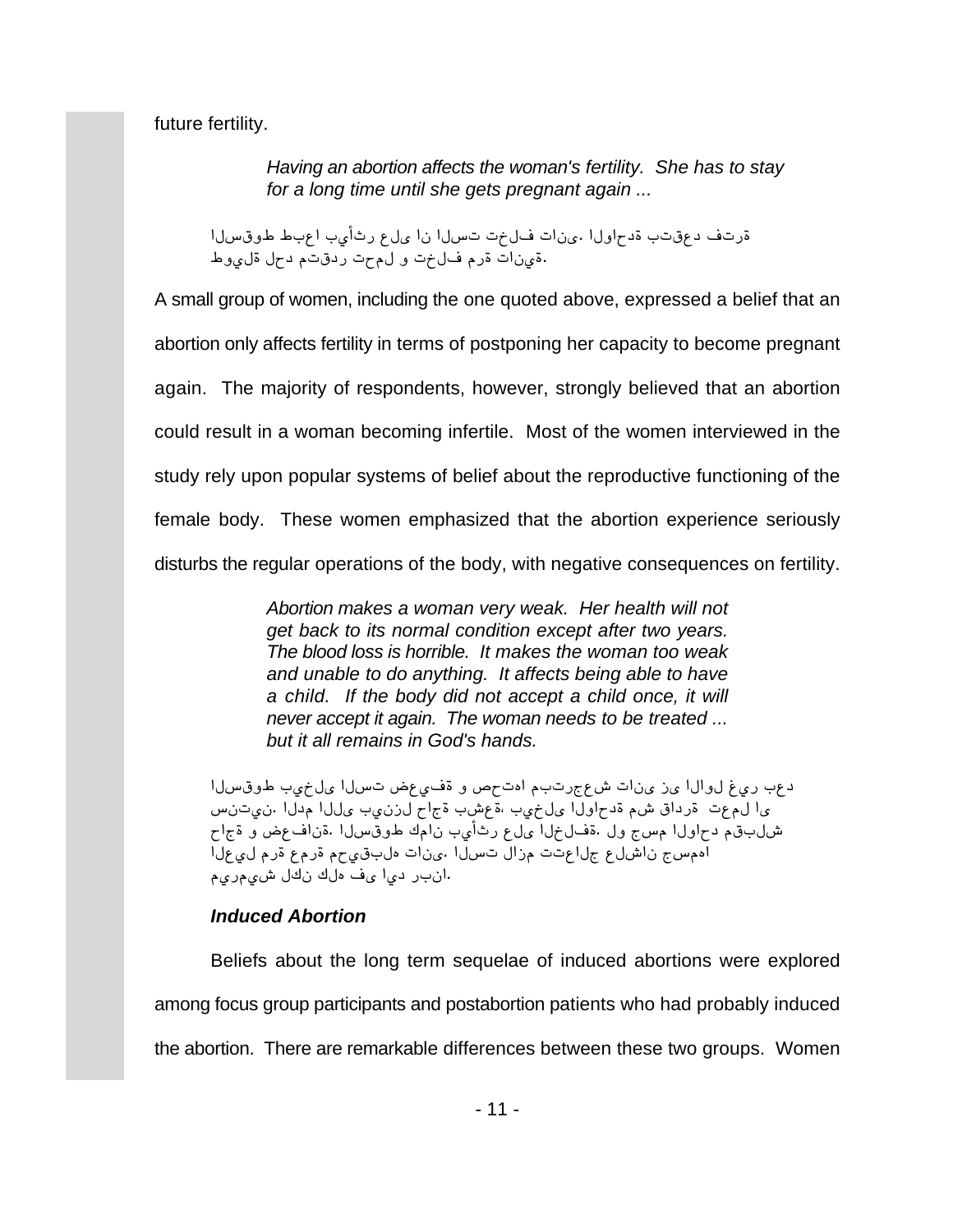future fertility.

*Having an abortion affects the woman's fertility. She has to stay for a long time until she gets pregnant again ...* 

قرتف دع قتب قدحاول! .ىنات فلخت تسلا نا ىلع رثأيب اعبط طوقسلا قونات قرم ف**ل**خت و لمّحت رّدقتم دحل قلموط.

A small group of women, including the one quoted above, expressed a belief that an abortion only affects fertility in terms of postponing her capacity to become pregnant again. The majority of respondents, however, strongly believed that an abortion could result in a woman becoming infertile. Most of the women interviewed in the study rely upon popular systems of belief about the reproductive functioning of the female body. These women emphasized that the abortion experience seriously disturbs the regular operations of the body, with negative consequences on fertility.

> *Abortion makes a woman very weak. Her health will not get back to its normal condition except after two years. The blood loss is horrible. It makes the woman too weak and unable to do anything. It affects being able to have a child. If the body did not accept a child once, it will never accept it again. The woman needs to be treated ... but it all remains in God's hands.*

*[™}¢ºé ]æq™¬ [™}a äñæûº º Üma¶[ Æ]ayiñÇ a[²¬ {¬ [™[º™ öæy ]ñu* يا لمءت قرداق شم قدحاولا علخيب ،ةعشب قجاح لرزنيب عللا مدلا .نيتنس شلبقم دحاولا مسج ول .ةفJخ∂ا ىلع رثأيب نامك طوقسلا .ةنافعض و ةجاح *[™ñæ™ Æyº ñÆyº Æmæ¢]™¶ a[²¬. [™}a ™[{Æ aañ[™i ñ™Ç[² i}ƶ[ ÆæyÆæÇ ™¶² ¶™¶ û¬ [æu y]²[.*

### *Induced Abortion*

Beliefs about the long term sequelae of induced abortions were explored among focus group participants and postabortion patients who had probably induced the abortion. There are remarkable differences between these two groups. Women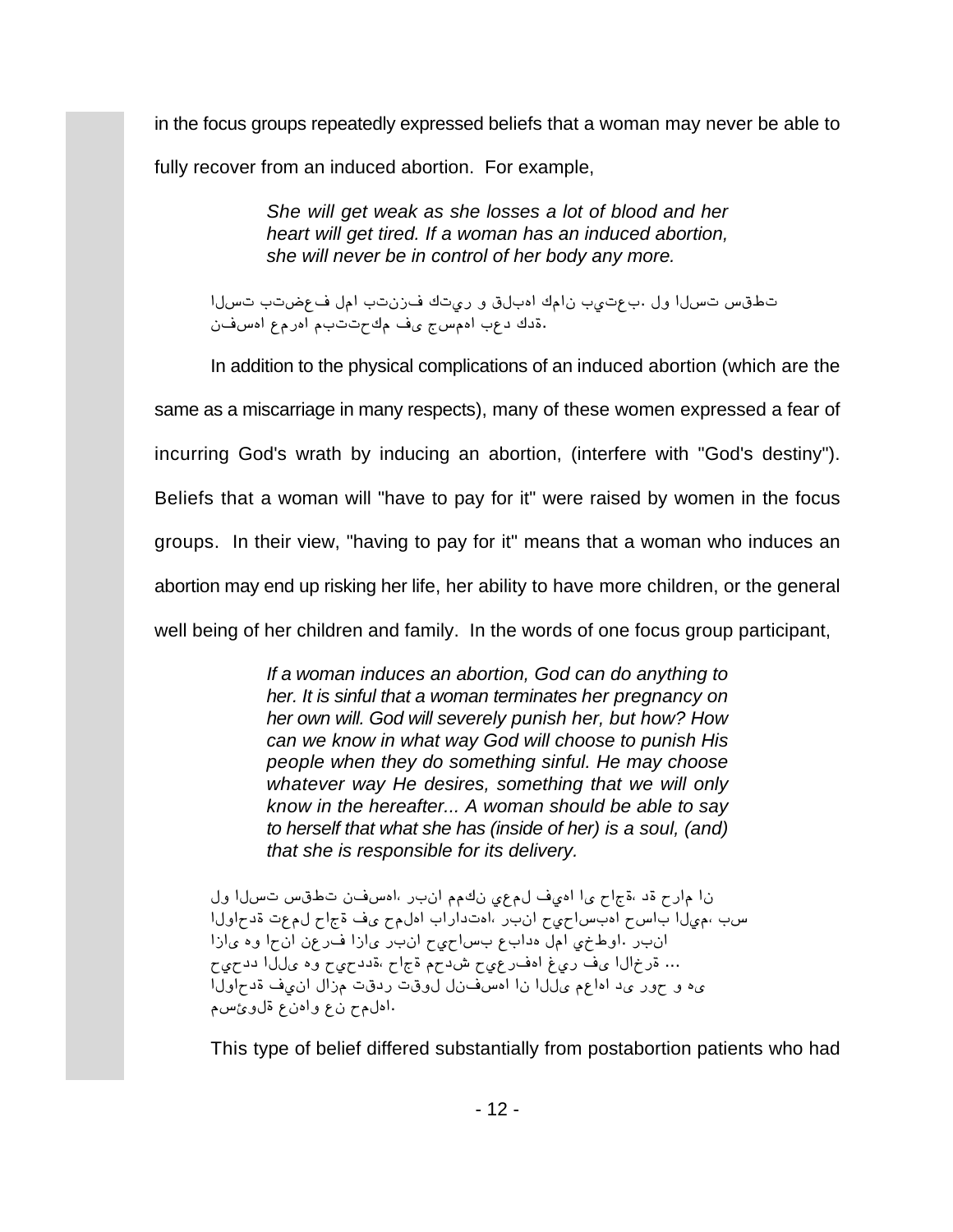in the focus groups repeatedly expressed beliefs that a woman may never be able to fully recover from an induced abortion. For example,

> *She will get weak as she losses a lot of blood and her heart will get tired. If a woman has an induced abortion, she will never be in control of her body any more.*

تطقس تسل| ول .بعتيب نامك امبلق و ريتك فزنتب امل فعضتب تسل| قدك دعب اممس جي ف مك حتتب م امر مع امس فن

In addition to the physical complications of an induced abortion (which are the

same as a miscarriage in many respects), many of these women expressed a fear of

incurring God's wrath by inducing an abortion, (interfere with "God's destiny").

Beliefs that a woman will "have to pay for it" were raised by women in the focus

groups. In their view, "having to pay for it" means that a woman who induces an

abortion may end up risking her life, her ability to have more children, or the general

well being of her children and family. In the words of one focus group participant,

*If a woman induces an abortion, God can do anything to her. It is sinful that a woman terminates her pregnancy on her own will. God will severely punish her, but how? How can we know in what way God will choose to punish His people when they do something sinful. He may choose whatever way He desires, something that we will only know in the hereafter... A woman should be able to say to herself that what she has (inside of her) is a soul, (and) that she is responsible for its delivery.*

ن ام ارح قد ،ةجاح ي ا اميف لم عي نكم م انبر ،امسفن تطقس تسل اول سب ،ميلا باسح ادبساحيح انبر ،ادتداراب ادلمح ىف ةجاح لمءت ةدحاولا [انب راوط نمی امل هداب ع بس احی ح انب ری ازا ف رعن ان ح اوه ی ازا ... ةرخال ايف ريغ امف رعي جشد م قجاح ،ةدد حي وه عال الدد حي ى ه و حور ىد اماعم ىللا نا امسفنل لوقت ردقت مزال ان يف ةدحاولا اهلمح نع وامنع ةلوئ سم.

This type of belief differed substantially from postabortion patients who had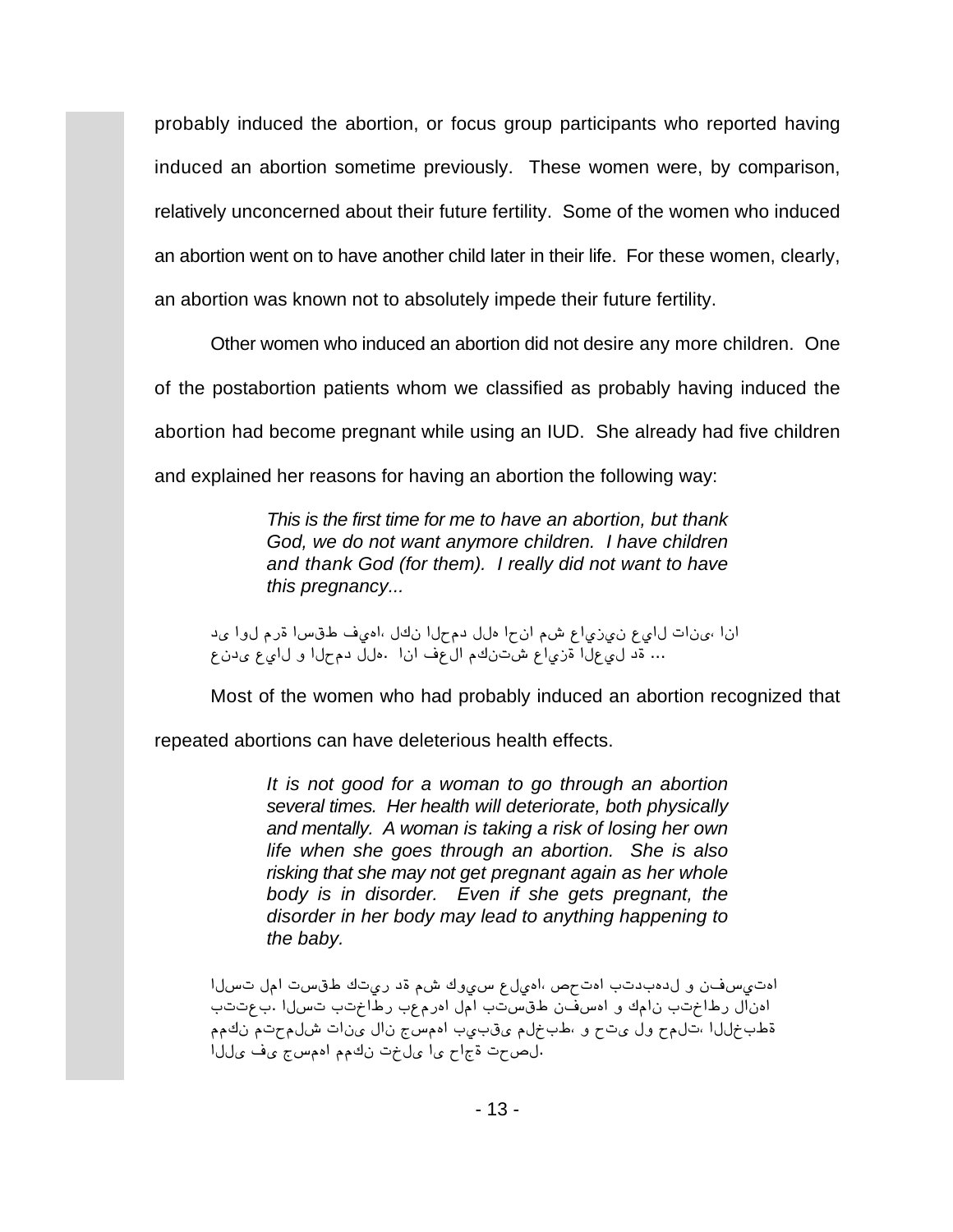probably induced the abortion, or focus group participants who reported having induced an abortion sometime previously. These women were, by comparison, relatively unconcerned about their future fertility. Some of the women who induced an abortion went on to have another child later in their life. For these women, clearly, an abortion was known not to absolutely impede their future fertility.

Other women who induced an abortion did not desire any more children. One of the postabortion patients whom we classified as probably having induced the abortion had become pregnant while using an IUD. She already had five children and explained her reasons for having an abortion the following way:

> *This is the first time for me to have an abortion, but thank God, we do not want anymore children. I have children and thank God (for them). I really did not want to have this pregnancy...*

انا ،ينات لايع ن،يزياع شم انحا ملل دمحلا نكل ،اميف طقسا قرم لوا يد … قد لي عل ا قزي اع شتنكم ال عف ان ا .ملل دم حل ا و ل اي ع ي دن ع

Most of the women who had probably induced an abortion recognized that

repeated abortions can have deleterious health effects.

*It is not good for a woman to go through an abortion several times. Her health will deteriorate, both physically and mentally. A woman is taking a risk of losing her own life when she goes through an abortion. She is also risking that she may not get pregnant again as her whole body is in disorder. Even if she gets pregnant, the disorder in her body may lead to anything happening to the baby.*

اهتي سفن ولدهبدتب اهت م صاهيل ع سي وك شم قد ريتك طقست امل تسلا ادنال رطاختب نامك و ادسفن طقستب امل ادرمعب رطاختب تسلاا .بعتتب قطبخللا ،تحلم ول يت مو ،طبخلم يقبيب اممسع نال ينات شلم حتم نكمم [ الصحت قجاح يا عل خت نكم الممسج عف على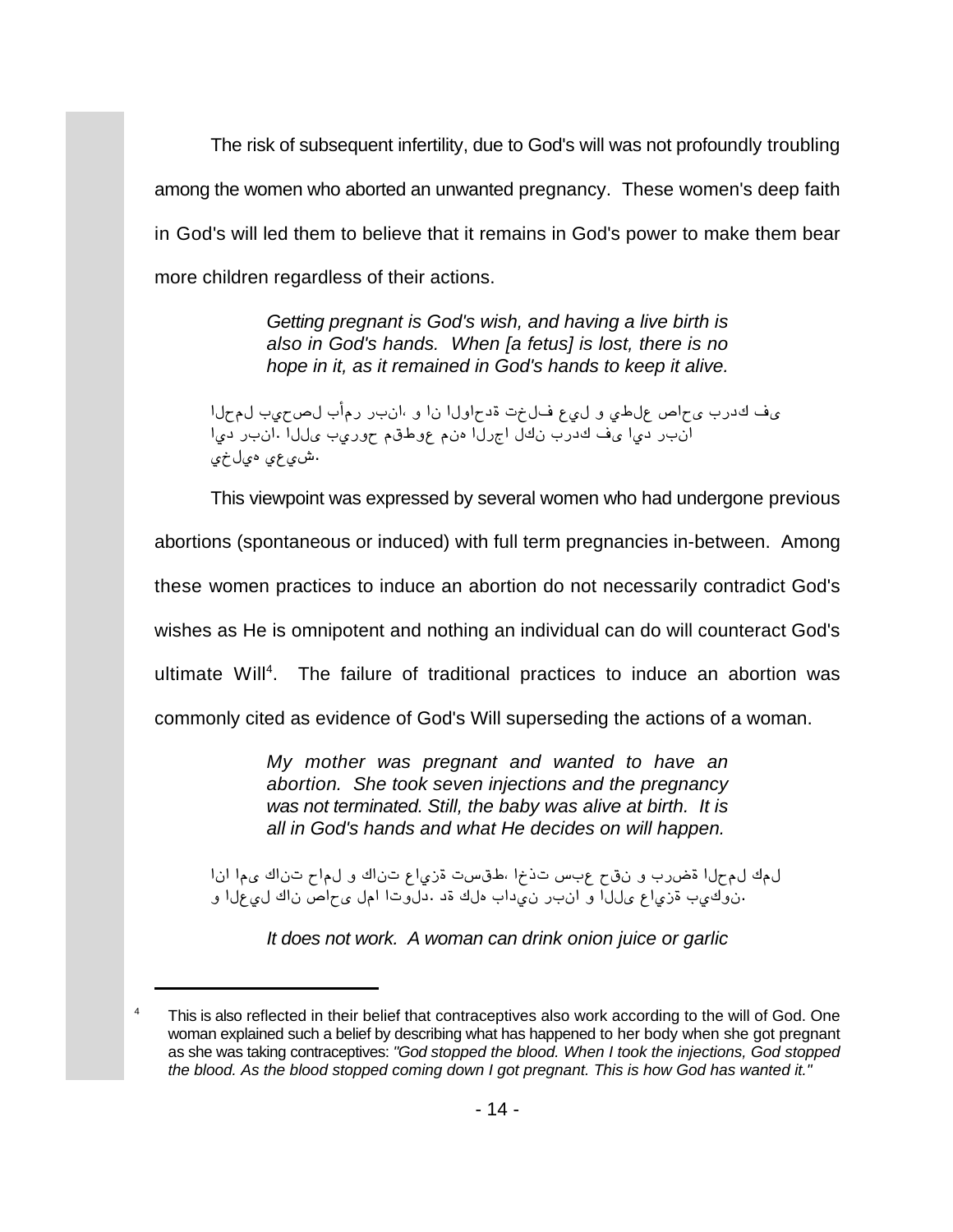The risk of subsequent infertility, due to God's will was not profoundly troubling among the women who aborted an unwanted pregnancy. These women's deep faith in God's will led them to believe that it remains in God's power to make them bear more children regardless of their actions.

> *Getting pregnant is God's wish, and having a live birth is also in God's hands. When [a fetus] is lost, there is no hope in it, as it remained in God's hands to keep it alive.*

ىف كدرب ىحاص علطي وللي فللخت ةدحاول ان او ،انبر رمأب لصحيب لمحل [آن بر الله عن الله عنه السلام عن السلام عن الله عن الله عن الله عن الله عن الله عن الله عن الله عن الله عن ال ش*و*عي ميلخ*ي*.

This viewpoint was expressed by several women who had undergone previous

abortions (spontaneous or induced) with full term pregnancies in-between. Among

these women practices to induce an abortion do not necessarily contradict God's

wishes as He is omnipotent and nothing an individual can do will counteract God's

ultimate Will<sup>4</sup>. The failure of traditional practices to induce an abortion was

commonly cited as evidence of God's Will superseding the actions of a woman.

*My mother was pregnant and wanted to have an abortion. She took seven injections and the pregnancy was not terminated. Still, the baby was alive at birth. It is all in God's hands and what He decides on will happen.*

ل مك ل محل ا قضرب و ن ق ح عبس ت ذخ ،طقست قزي اع تن اك و ل ماح تن اك ى م ا ان ا نوكيب قزياع <sub>عا</sub>للا و انبر نى داب ملك قد .دلوتا امل ى ماص ناك لى علا و.

*It does not work. A woman can drink onion juice or garlic*

<sup>&</sup>lt;sup>4</sup> This is also reflected in their belief that contraceptives also work according to the will of God. One woman explained such a belief by describing what has happened to her body when she got pregnant as she was taking contraceptives: *"God stopped the blood. When I took the injections, God stopped the blood. As the blood stopped coming down I got pregnant. This is how God has wanted it."*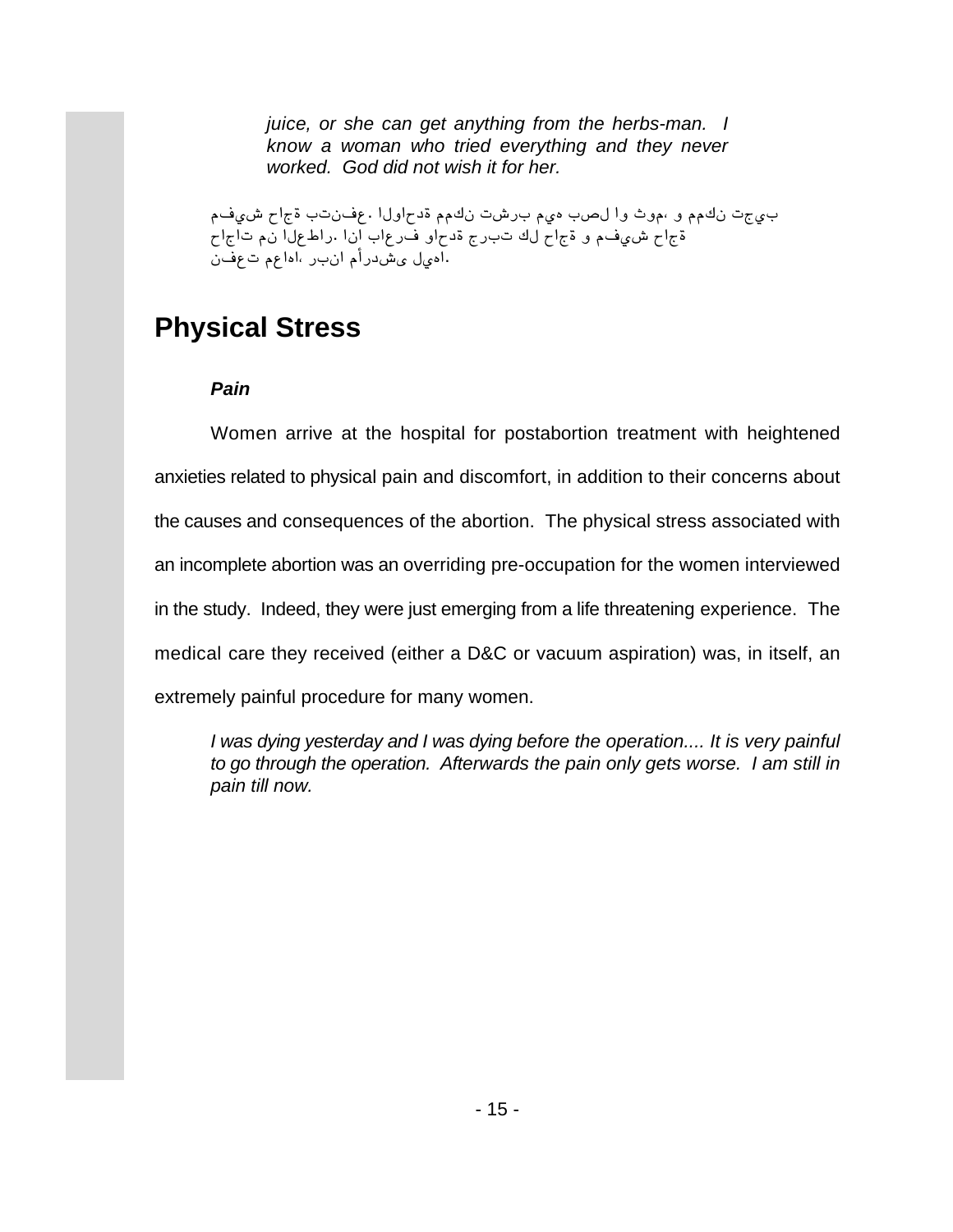*juice, or she can get anything from the herbs-man. I know a woman who tried everything and they never worked. God did not wish it for her.*

بي جت نكمم و ،موث وا لصب مىم برشت نكمم ةدحاولا . عفنتب ةجاح شي فم قحاح شي فم و قجاح لك تبرج قدحاو ف رعاب إن ا .راط عل انم تاجاح اهيل يشدرأم انب راهاعم تعفن

# **Physical Stress**

### *Pain*

Women arrive at the hospital for postabortion treatment with heightened anxieties related to physical pain and discomfort, in addition to their concerns about the causes and consequences of the abortion. The physical stress associated with an incomplete abortion was an overriding pre-occupation for the women interviewed in the study. Indeed, they were just emerging from a life threatening experience. The medical care they received (either a D&C or vacuum aspiration) was, in itself, an extremely painful procedure for many women.

*I was dying yesterday and I was dying before the operation.... It is very painful to go through the operation. Afterwards the pain only gets worse. I am still in pain till now.*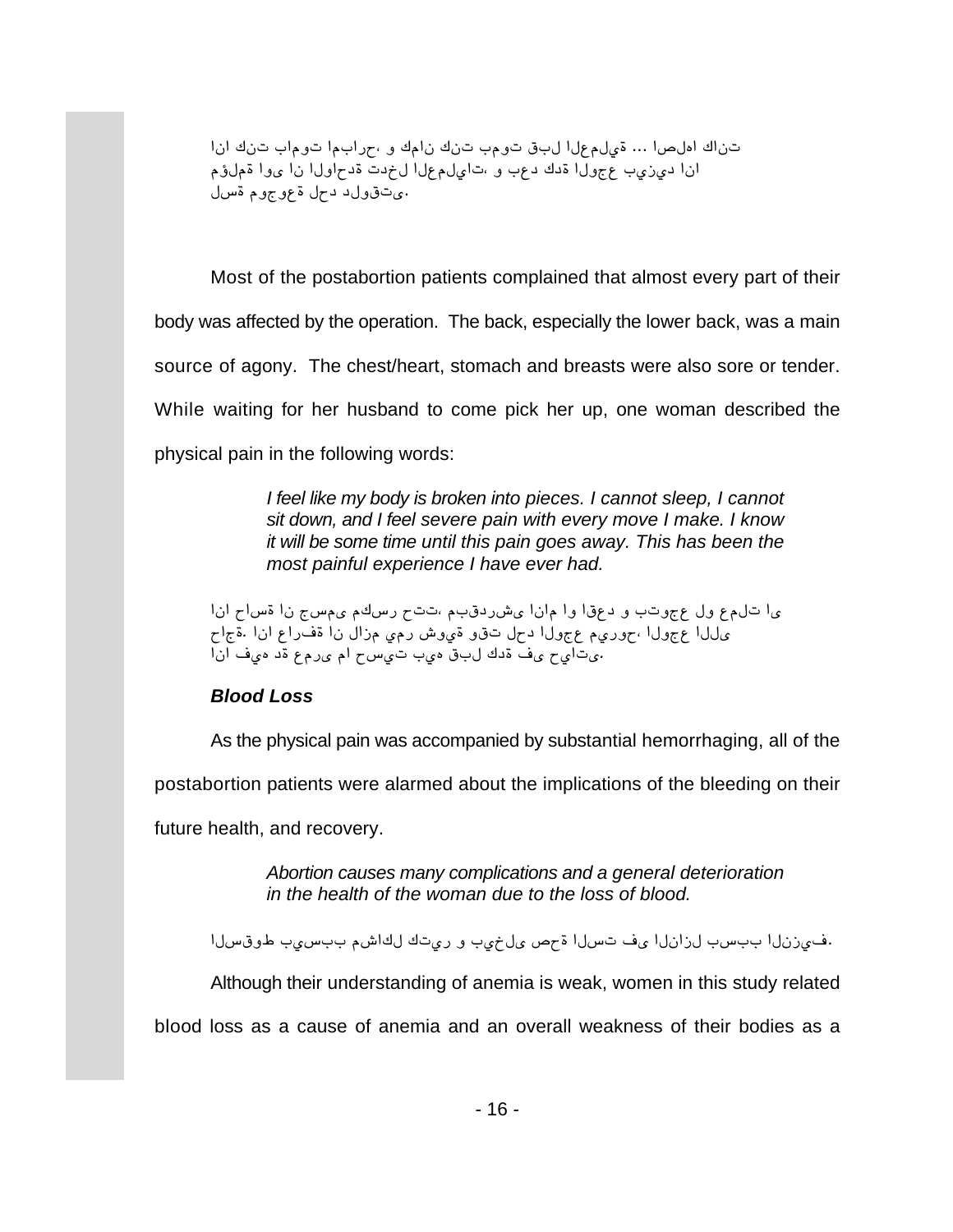تناك املصا ... قىلم على لبق تومب تنك نامك و ،جرابما توماب تنك ان ا انا ديزيب عجولا قدك دعب و ،تايلمعلا لخدت قدحاولا نا يوا قملؤم ی تقول د د مل قوم چوم قسل.

Most of the postabortion patients complained that almost every part of their body was affected by the operation. The back, especially the lower back, was a main source of agony. The chest/heart, stomach and breasts were also sore or tender. While waiting for her husband to come pick her up, one woman described the physical pain in the following words:

> *I feel like my body is broken into pieces. I cannot sleep, I cannot sit down, and I feel severe pain with every move I make. I know it will be some time until this pain goes away. This has been the most painful experience I have ever had.*

*[²[ m[}º [² i}Ƭ ƶ}y maaG Æ]¢uyǬ [²[Æ [º [¢ñu º ]aºiñ ™º ñÆ™a [ m[iº. [²[ ñ[yûº [² ™[{Æ æÆy Ǻæº º¢a ™mu [™ºiñ ÆæyºmG [™ºiñ [™™¬ [²[ ûæ¶ uº ñÆy¬ Æ[ m}æa ]æ¶ ¢]™ ¶uº û¬ mæ[a¬.*

#### *Blood Loss*

As the physical pain was accompanied by substantial hemorrhaging, all of the

postabortion patients were alarmed about the implications of the bleeding on their

future health, and recovery.

*Abortion causes many complications and a general deterioration in the health of the woman due to the loss of blood.*

.في زنل اببسب لزانل ايف تسل اقحص ىل خيب و ريتك لك اشم ببسيب طوق سل ا

Although their understanding of anemia is weak, women in this study related

blood loss as a cause of anemia and an overall weakness of their bodies as a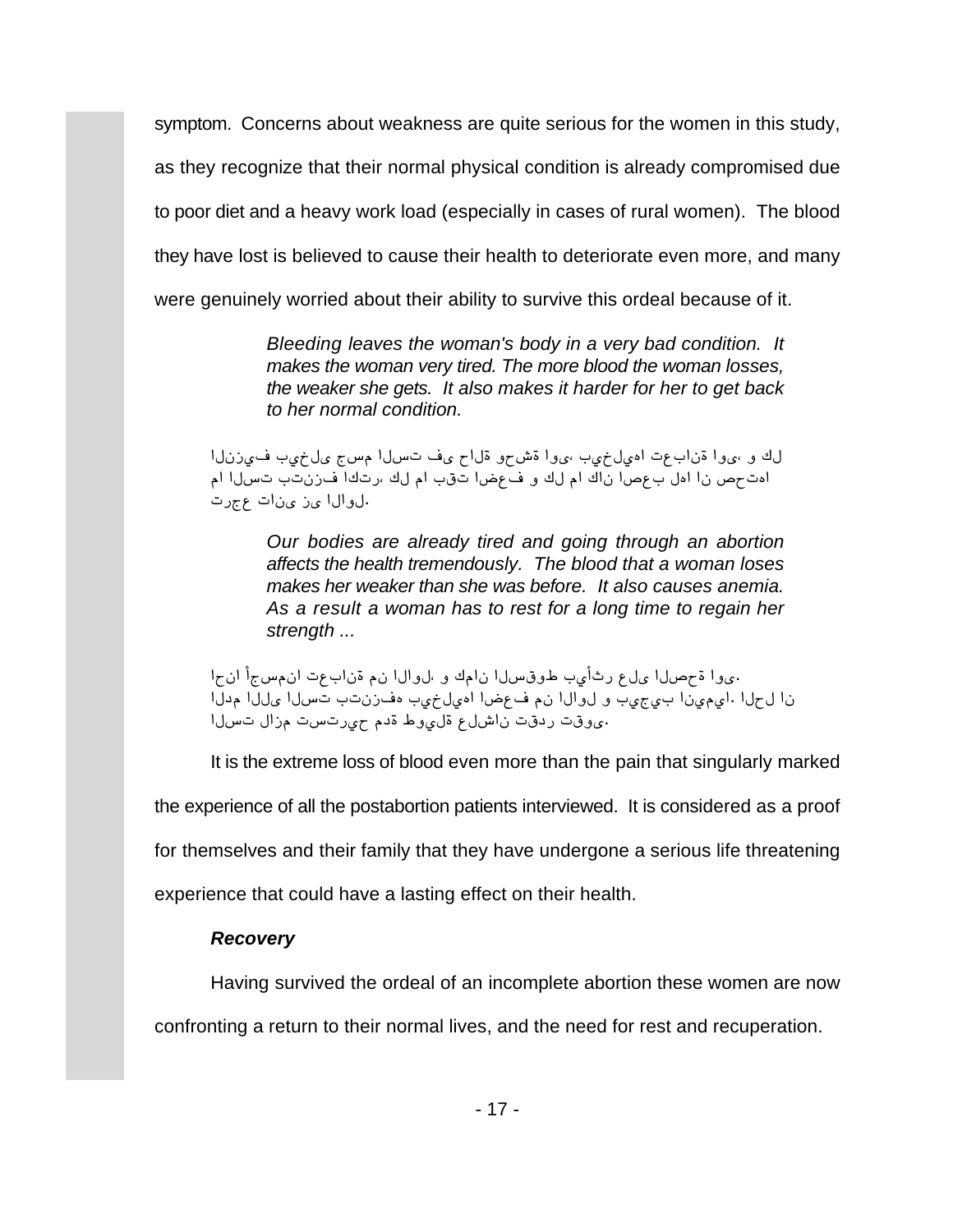symptom. Concerns about weakness are quite serious for the women in this study, as they recognize that their normal physical condition is already compromised due to poor diet and a heavy work load (especially in cases of rural women). The blood they have lost is believed to cause their health to deteriorate even more, and many were genuinely worried about their ability to survive this ordeal because of it.

> *Bleeding leaves the woman's body in a very bad condition. It makes the woman very tired. The more blood the woman losses, the weaker she gets. It also makes it harder for her to get back to her normal condition.*

لك و ،يوا ةناب عت امول خوب ،يوا ةش حو ةلاح ي ف تسلا مسج مال خوب فورزنلا اهتحص نا امل بعصا ناك ام لك و فعضا تقب ام لك ،رتكا فزنتب تسلا ام الوال اى نى ات عجرت.

*Our bodies are already tired and going through an abortion affects the health tremendously. The blood that a woman loses makes her weaker than she was before. It also causes anemia. As a result a woman has to rest for a long time to regain her strength ...* 

.يوا ةحصلا يلء رثأيب طوقسلا نامك وباروال نم ةنابءت ان مسجأ انحا نا لحلا ايمهيّنا بيع عيبَ و لوالا نم فعضا امْهلخيب مفترنتب تّسلا مللّا مدلّا وقت ردقت ناشل ع قلى وط قدم حي رتست مزال تسلا

It is the extreme loss of blood even more than the pain that singularly marked the experience of all the postabortion patients interviewed. It is considered as a proof for themselves and their family that they have undergone a serious life threatening experience that could have a lasting effect on their health.

#### *Recovery*

Having survived the ordeal of an incomplete abortion these women are now

confronting a return to their normal lives, and the need for rest and recuperation.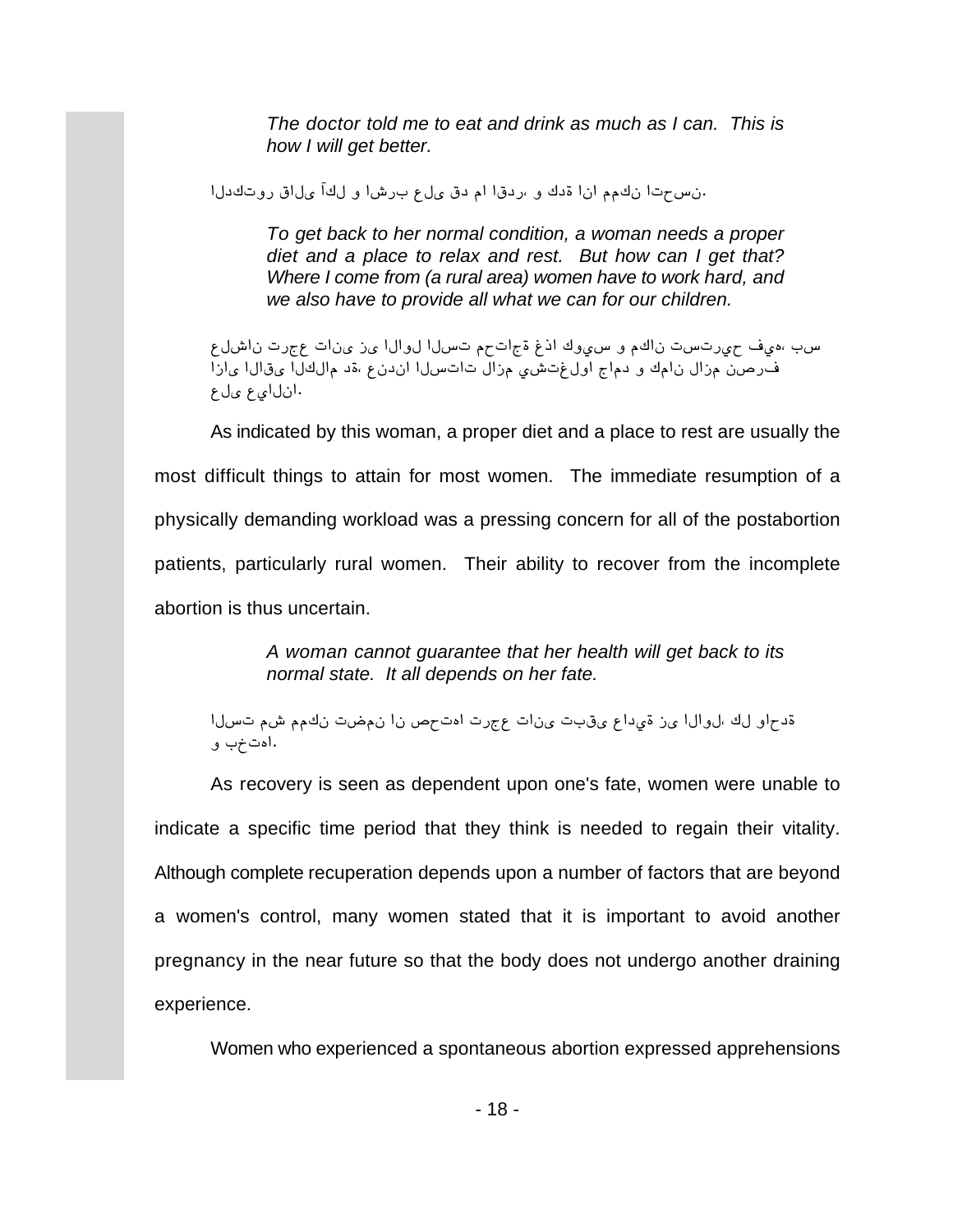*The doctor told me to eat and drink as much as I can. This is how I will get better.*

انس حتا نكم مان اقدك و ردقا ام دق ىل ع برشا و لكآ ىلاق روتكدل

*To get back to her normal condition, a woman needs a proper diet and a place to relax and rest. But how can I get that? Where I come from (a rural area) women have to work hard, and we also have to provide all what we can for our children.*

سب ،هيف حيرتست ناكم و سيوك اذغ ةجاتحم تسلا لوالا يز ينات عجرت ناشلع ق[صن مزال نامك و دماج اولغتشي مزال تاتسلا اندنع ،ةد مالكلّ يقالا يازاً انلا*ي*ع *ی*لع.

As indicated by this woman, a proper diet and a place to rest are usually the most difficult things to attain for most women. The immediate resumption of a physically demanding workload was a pressing concern for all of the postabortion patients, particularly rural women. Their ability to recover from the incomplete abortion is thus uncertain.

> *A woman cannot guarantee that her health will get back to its normal state. It all depends on her fate.*

ةدحاو لك ،لوالا ي ز ةيداع ي قبت ي نات عجرت امت حص نا ن مضت نك م شم تسلا اهتخې و.

As recovery is seen as dependent upon one's fate, women were unable to indicate a specific time period that they think is needed to regain their vitality. Although complete recuperation depends upon a number of factors that are beyond a women's control, many women stated that it is important to avoid another pregnancy in the near future so that the body does not undergo another draining experience.

Women who experienced a spontaneous abortion expressed apprehensions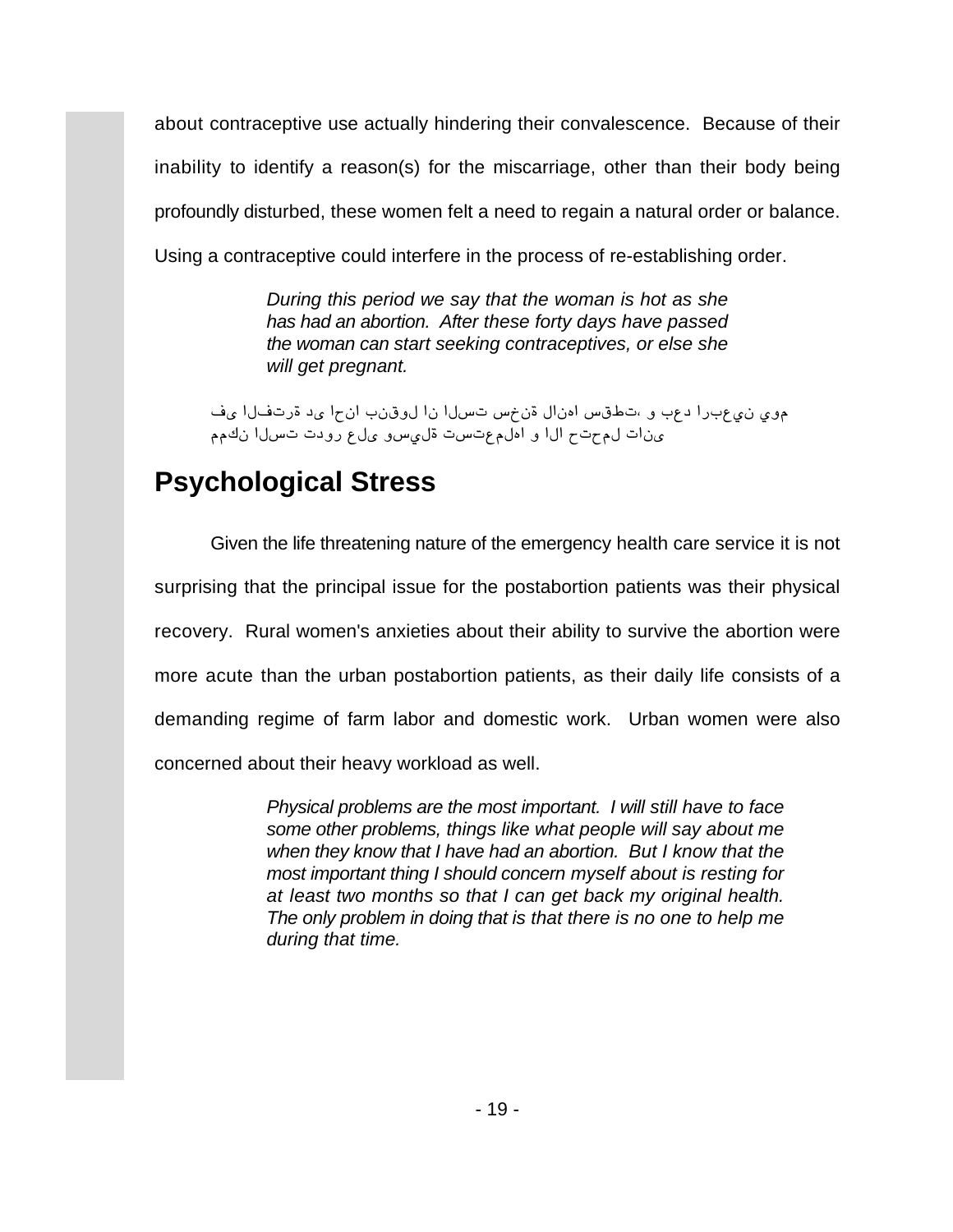about contraceptive use actually hindering their convalescence. Because of their inability to identify a reason(s) for the miscarriage, other than their body being profoundly disturbed, these women felt a need to regain a natural order or balance. Using a contraceptive could interfere in the process of re-establishing order.

> *During this period we say that the woman is hot as she has had an abortion. After these forty days have passed the woman can start seeking contraceptives, or else she will get pregnant.*

موی نیع برا دعب و ،تطقس امنال ةن ض تسلال نا لوقنب ان ام ی د ةرتفلا یف ينات لم حتح الله و امّلم عتست ةلي سو على و رودت تسلل نكم

# **Psychological Stress**

Given the life threatening nature of the emergency health care service it is not surprising that the principal issue for the postabortion patients was their physical recovery. Rural women's anxieties about their ability to survive the abortion were more acute than the urban postabortion patients, as their daily life consists of a demanding regime of farm labor and domestic work. Urban women were also concerned about their heavy workload as well.

> *Physical problems are the most important. I will still have to face some other problems, things like what people will say about me when they know that I have had an abortion. But I know that the most important thing I should concern myself about is resting for at least two months so that I can get back my original health. The only problem in doing that is that there is no one to help me during that time.*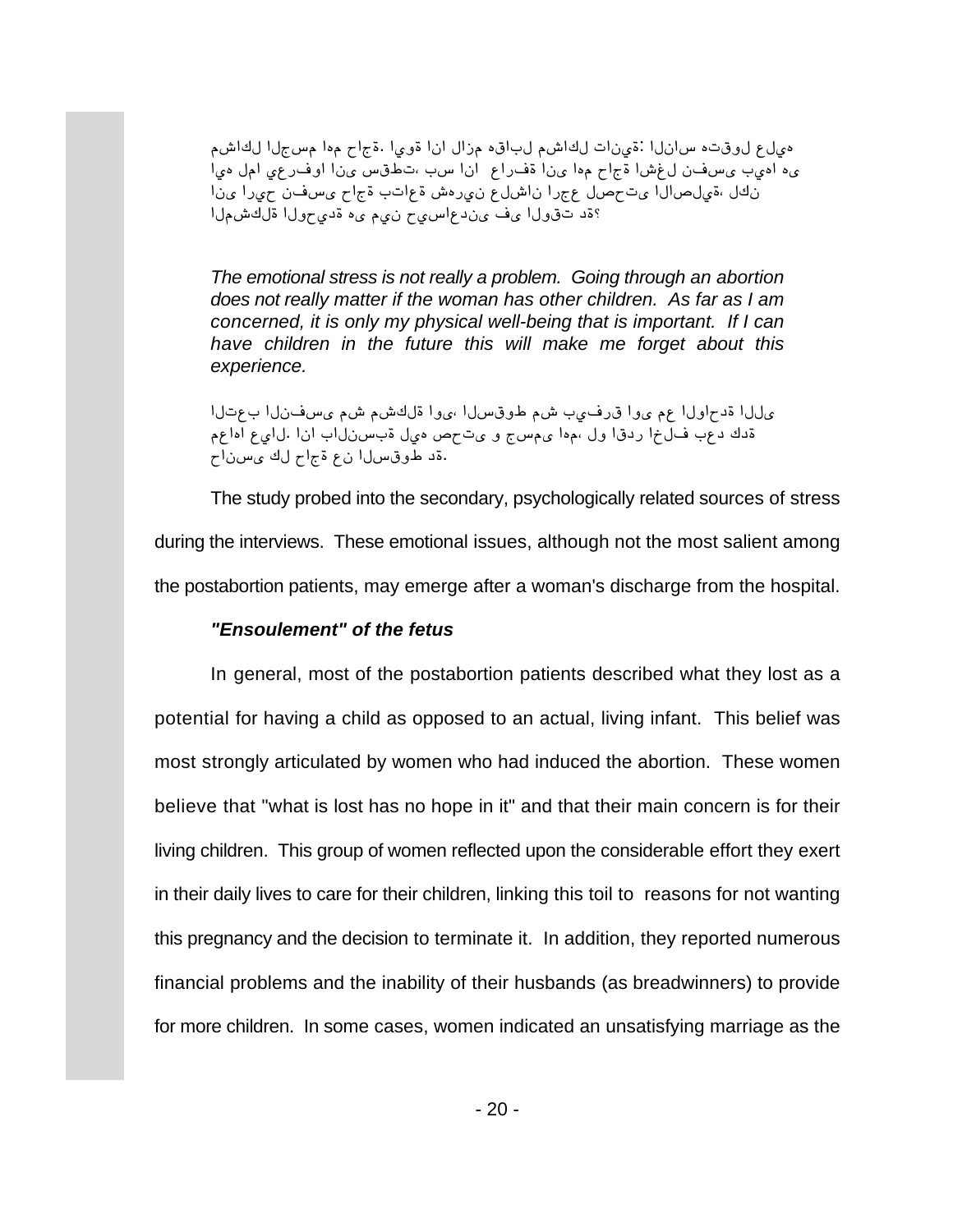هيل ع لوقته سانلا :قينات لكاشم لباقه مزال انا قوىا .قجاح موا مسجلا لكاشم ىء اميب يسفن لغشا ةجاح موا ينا ةفراع انا سب ،تطقس ينا اوفرعي امل ميا نكل ،ةيلصال اي تحصل عجر ان اشلع ني رمش ةع اتب ةجاح يسفن حي را ين ا ؟قد تقول اىف ىند ع اسى من نى مى مقدى مول اقلكشمل ا

*The emotional stress is not really a problem. Going through an abortion does not really matter if the woman has other children. As far as I am concerned, it is only my physical well-being that is important. If I can have children in the future this will make me forget about this experience.*

ى ل ا قدح اول اعم ى و ا ق رفى ب ش مطوق س ل ا ،ى و اقل كشم ش مى س ف ن ل ا ب ع ت ل ا قدك دعّب ف $\vec{0}$ خا ردقا ول ،مما ىمسج و ىت ص ميل قبسن $\vec{0}$ اب انا .لاي ع اماعم .ةد طوقسلا نع قجاح لك يسناح

The study probed into the secondary, psychologically related sources of stress during the interviews. These emotional issues, although not the most salient among the postabortion patients, may emerge after a woman's discharge from the hospital.

#### *"Ensoulement" of the fetus*

In general, most of the postabortion patients described what they lost as a potential for having a child as opposed to an actual, living infant. This belief was most strongly articulated by women who had induced the abortion. These women believe that "what is lost has no hope in it" and that their main concern is for their living children. This group of women reflected upon the considerable effort they exert in their daily lives to care for their children, linking this toil to reasons for not wanting this pregnancy and the decision to terminate it. In addition, they reported numerous financial problems and the inability of their husbands (as breadwinners) to provide for more children. In some cases, women indicated an unsatisfying marriage as the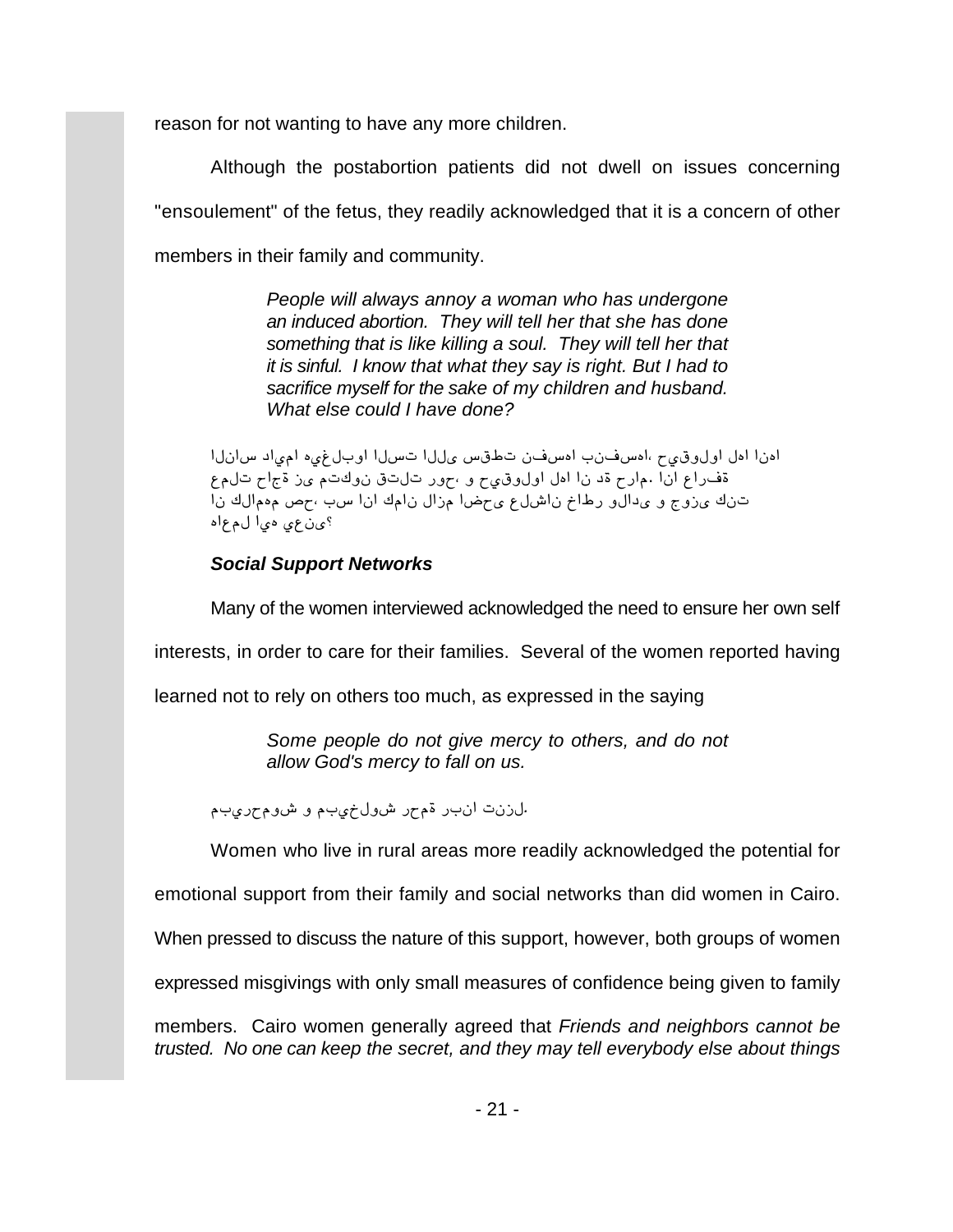reason for not wanting to have any more children.

Although the postabortion patients did not dwell on issues concerning "ensoulement" of the fetus, they readily acknowledged that it is a concern of other members in their family and community.

> *People will always annoy a woman who has undergone an induced abortion. They will tell her that she has done something that is like killing a soul. They will tell her that it is sinful. I know that what they say is right. But I had to sacrifice myself for the sake of my children and husband. What else could I have done?*

ادنا ادل اولوق،يح ،ادسفنت با ادسفن تطقس ىللا تسللا اوبلغي، المياد سانلا ةفراع انا .مارح ةد نا امل اولوقيح و <sub>"</sub>حور تالتق نوكتم يز ةجاح تلمع تنك يزوّج و يُدالّو رطاخ ناشل ع يُ حَضا مِزال نامك أنا سب بحص مُممالك نا ؟ي ن عي مي! لم عام

### *Social Support Networks*

Many of the women interviewed acknowledged the need to ensure her own self

interests, in order to care for their families. Several of the women reported having

learned not to rely on others too much, as expressed in the saying

*Some people do not give mercy to others, and do not allow God's mercy to fall on us.*

*Æ]æymƺÇ º Æ]æq™ºÇ ymƺ y]²[ a²{™.*

Women who live in rural areas more readily acknowledged the potential for

emotional support from their family and social networks than did women in Cairo.

When pressed to discuss the nature of this support, however, both groups of women

expressed misgivings with only small measures of confidence being given to family

members. Cairo women generally agreed that *Friends and neighbors cannot be trusted. No one can keep the secret, and they may tell everybody else about things*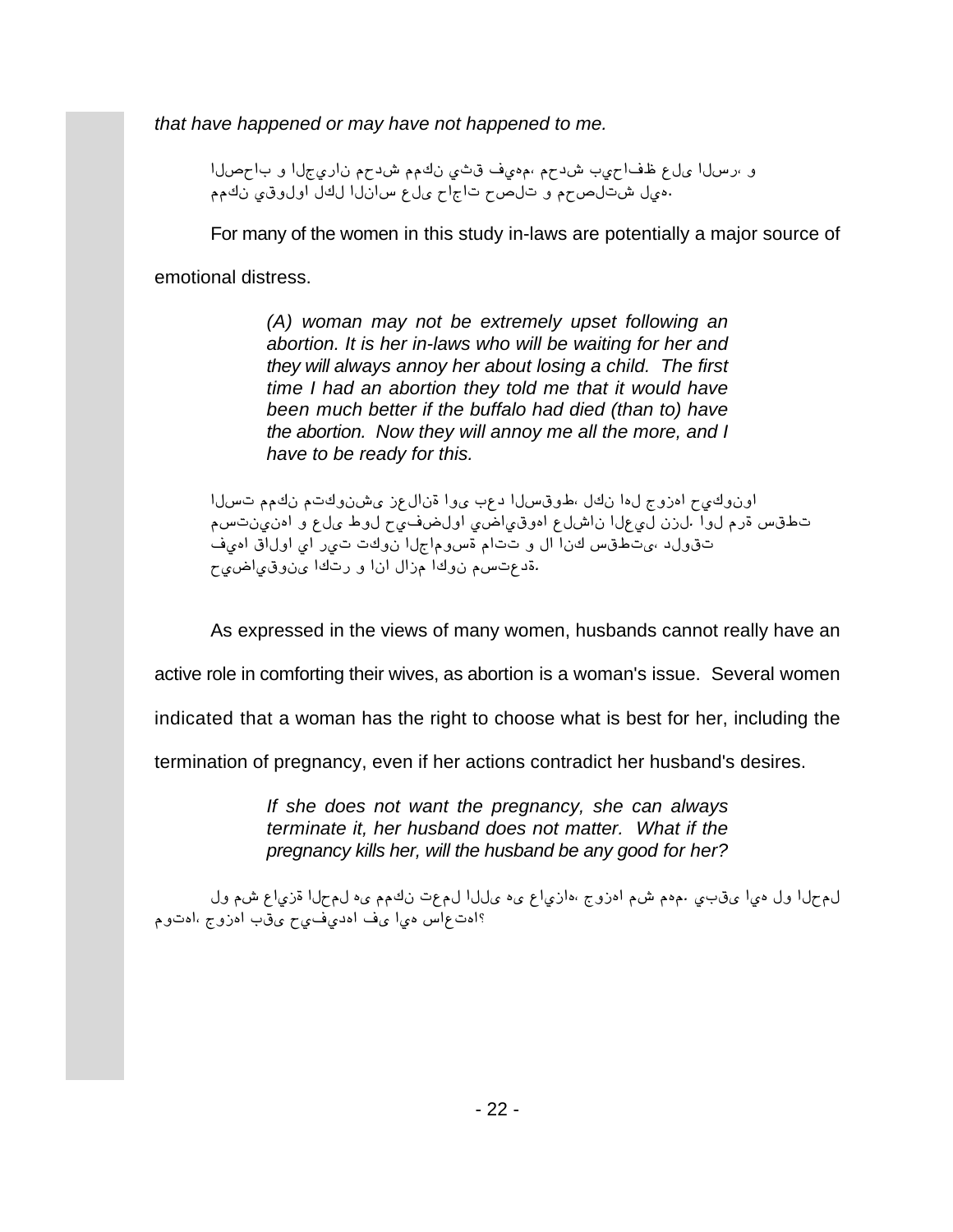*that have happened or may have not happened to me.*

و ،رسلا يلع ظفاجيب شدجم ،مهيف قثي نكم شدجم ناريجلا و باحصلا ههال شتال صحم وتال صحت اجاح ملء سانلا للكل اول وقى نكم

For many of the women in this study in-laws are potentially a major source of

emotional distress.

*(A) woman may not be extremely upset following an abortion. It is her in-laws who will be waiting for her and they will always annoy her about losing a child. The first time I had an abortion they told me that it would have been much better if the buffalo had died (than to) have the abortion. Now they will annoy me all the more, and I have to be ready for this.*

*[™}a ÆÆ¶² Æa¶º²Ç¬ {ñ™[²º [º¬ ]ñu [™}¢ºéG ™¶² [¶™ iº{¶[ m涺²º[ Æ}a²æ²¶[ º ñ™¬ 麙 mæû䙺[ æä[梺¶[ ñ™Ç[² [™ñæ™ ²{™. [º™ Æyº }¢éa*  $^$ تقولد ،ىتطقس كنا ال و تتام ةسوماجلا نوكت تير اي اولاق اميف *mæä[梺²¬ [¶ay º [²[ ™[{Æ [¶º² Æ}añuº.*

As expressed in the views of many women, husbands cannot really have an

active role in comforting their wives, as abortion is a woman's issue. Several women

indicated that a woman has the right to choose what is best for her, including the

termination of pregnancy, even if her actions contradict her husband's desires.

*If she does not want the pregnancy, she can always terminate it, her husband does not matter. What if the pregnancy kills her, will the husband be any good for her?*

*™º ÆÇ ñ[æ{º [™mÆ™ ¶¬ ÆÆ¶² añÆ™ [™™¬ ¶¬ ñ[æ{[¶G iº{¶[ ÆÇ ƶÆ. æ]¢¬ [æ¶ ™º [™mÆ™ ƺa¶[G iº{¶[ ]¢¬ mæûæu¶[ û¬ [æ¶ }[ña¶[I*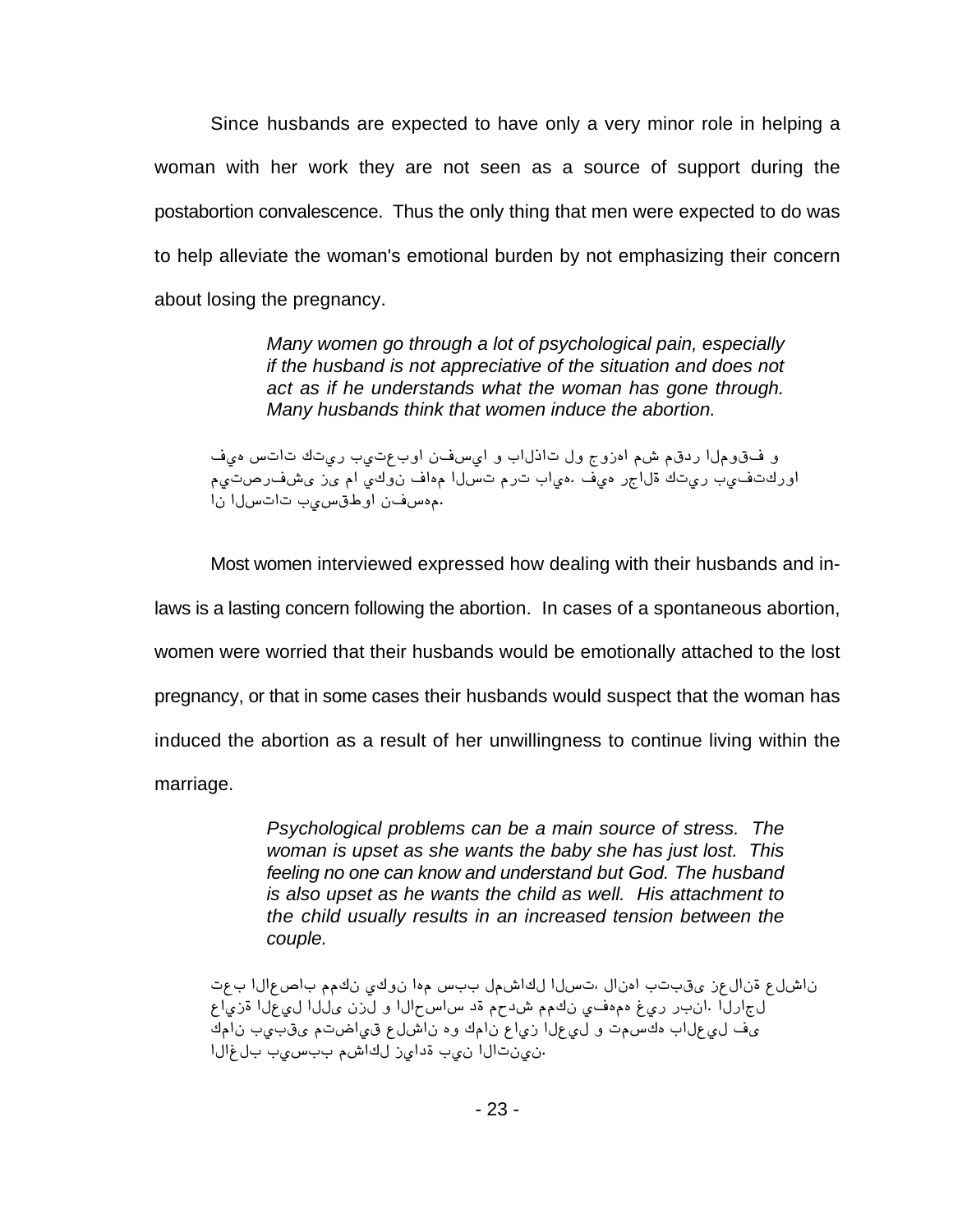Since husbands are expected to have only a very minor role in helping a woman with her work they are not seen as a source of support during the postabortion convalescence. Thus the only thing that men were expected to do was to help alleviate the woman's emotional burden by not emphasizing their concern about losing the pregnancy.

> *Many women go through a lot of psychological pain, especially if the husband is not appreciative of the situation and does not act as if he understands what the woman has gone through. Many husbands think that women induce the abortion.*

 $6$  *و* فقوم لاردقم شم ادزوج ول تاذلاب و ايسفن اوبعتيب ريتك تاتس ميف *ÆæaÜyûǬ {¬ Æ[ 涺² û[¶Æ [™}a Æya ][æ¶. ûæ¶ yi[™º ¶aæy ]æûa¶yº[ [² [™}a[a ]æ}¢éº[ ²û}¶Æ.*

Most women interviewed expressed how dealing with their husbands and inlaws is a lasting concern following the abortion. In cases of a spontaneous abortion, women were worried that their husbands would be emotionally attached to the lost pregnancy, or that in some cases their husbands would suspect that the woman has induced the abortion as a result of her unwillingness to continue living within the marriage.

> *Psychological problems can be a main source of stress. The woman is upset as she wants the baby she has just lost. This feeling no one can know and understand but God. The husband is also upset as he wants the child as well. His attachment to the child usually results in an increased tension between the couple.*

*añ] [™[ñÜ[] ÆÆ¶² 涺² [¶Æ }]] ™ÆÇ[¶™ [™}aG ™[²¶[ ]a]¢¬ {ñ™[²º ñ™Ç[² ñ[æ{º [™ñæ™ [™™¬ ²{™ º [™[m}[} uº ÆmuÇ ÆÆ¶² æû¶Æ¶ öæy y]²[. [™y[i™ ¶Æ[² ]æ]¢¬ Æaä[æ¢ ñ™Ç[² ¶º ¶Æ[² ñ[æ{ [™ñæ™ º aÆ}¶¶ ][™ñæ™ û¬ [™[ö™] ]æ}]] ÆÇ[¶™ {æ[uº ]æ² [™[a²æ².*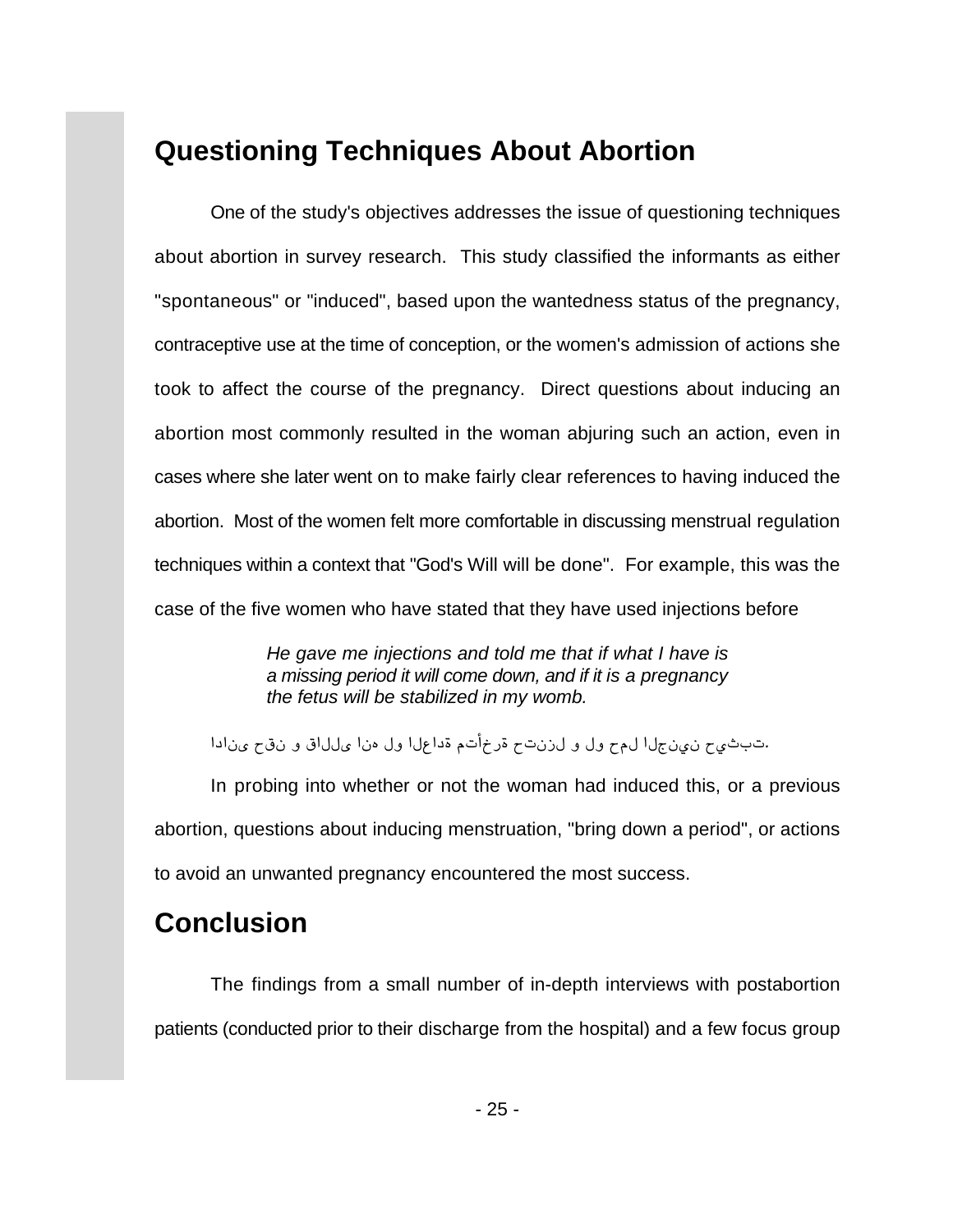## **Questioning Techniques About Abortion**

One of the study's objectives addresses the issue of questioning techniques about abortion in survey research. This study classified the informants as either "spontaneous" or "induced", based upon the wantedness status of the pregnancy, contraceptive use at the time of conception, or the women's admission of actions she took to affect the course of the pregnancy. Direct questions about inducing an abortion most commonly resulted in the woman abjuring such an action, even in cases where she later went on to make fairly clear references to having induced the abortion. Most of the women felt more comfortable in discussing menstrual regulation techniques within a context that "God's Will will be done". For example, this was the case of the five women who have stated that they have used injections before

> *He gave me injections and told me that if what I have is a missing period it will come down, and if it is a pregnancy the fetus will be stabilized in my womb.*

*[u[²¬ m¢² º ¢[™™¬ [²¶ ™º [™ñ[uº Æa«qyº ma²{™ º ™º mÆ™ [™i²æ² mæe]a.*

In probing into whether or not the woman had induced this, or a previous abortion, questions about inducing menstruation, "bring down a period", or actions to avoid an unwanted pregnancy encountered the most success.

# **Conclusion**

The findings from a small number of in-depth interviews with postabortion patients (conducted prior to their discharge from the hospital) and a few focus group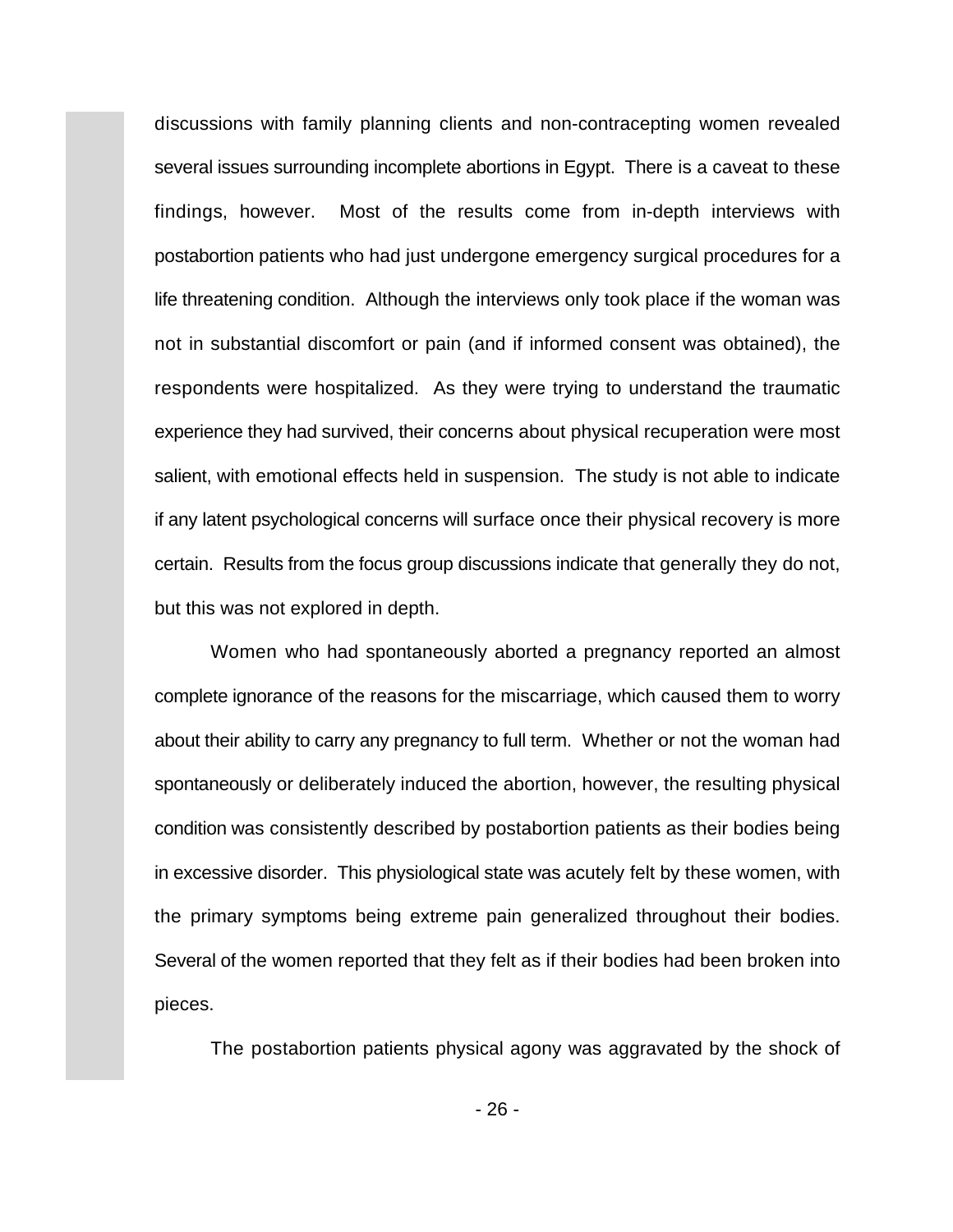discussions with family planning clients and non-contracepting women revealed several issues surrounding incomplete abortions in Egypt. There is a caveat to these findings, however. Most of the results come from in-depth interviews with postabortion patients who had just undergone emergency surgical procedures for a life threatening condition. Although the interviews only took place if the woman was not in substantial discomfort or pain (and if informed consent was obtained), the respondents were hospitalized. As they were trying to understand the traumatic experience they had survived, their concerns about physical recuperation were most salient, with emotional effects held in suspension. The study is not able to indicate if any latent psychological concerns will surface once their physical recovery is more certain. Results from the focus group discussions indicate that generally they do not, but this was not explored in depth.

Women who had spontaneously aborted a pregnancy reported an almost complete ignorance of the reasons for the miscarriage, which caused them to worry about their ability to carry any pregnancy to full term. Whether or not the woman had spontaneously or deliberately induced the abortion, however, the resulting physical condition was consistently described by postabortion patients as their bodies being in excessive disorder. This physiological state was acutely felt by these women, with the primary symptoms being extreme pain generalized throughout their bodies. Several of the women reported that they felt as if their bodies had been broken into pieces.

The postabortion patients physical agony was aggravated by the shock of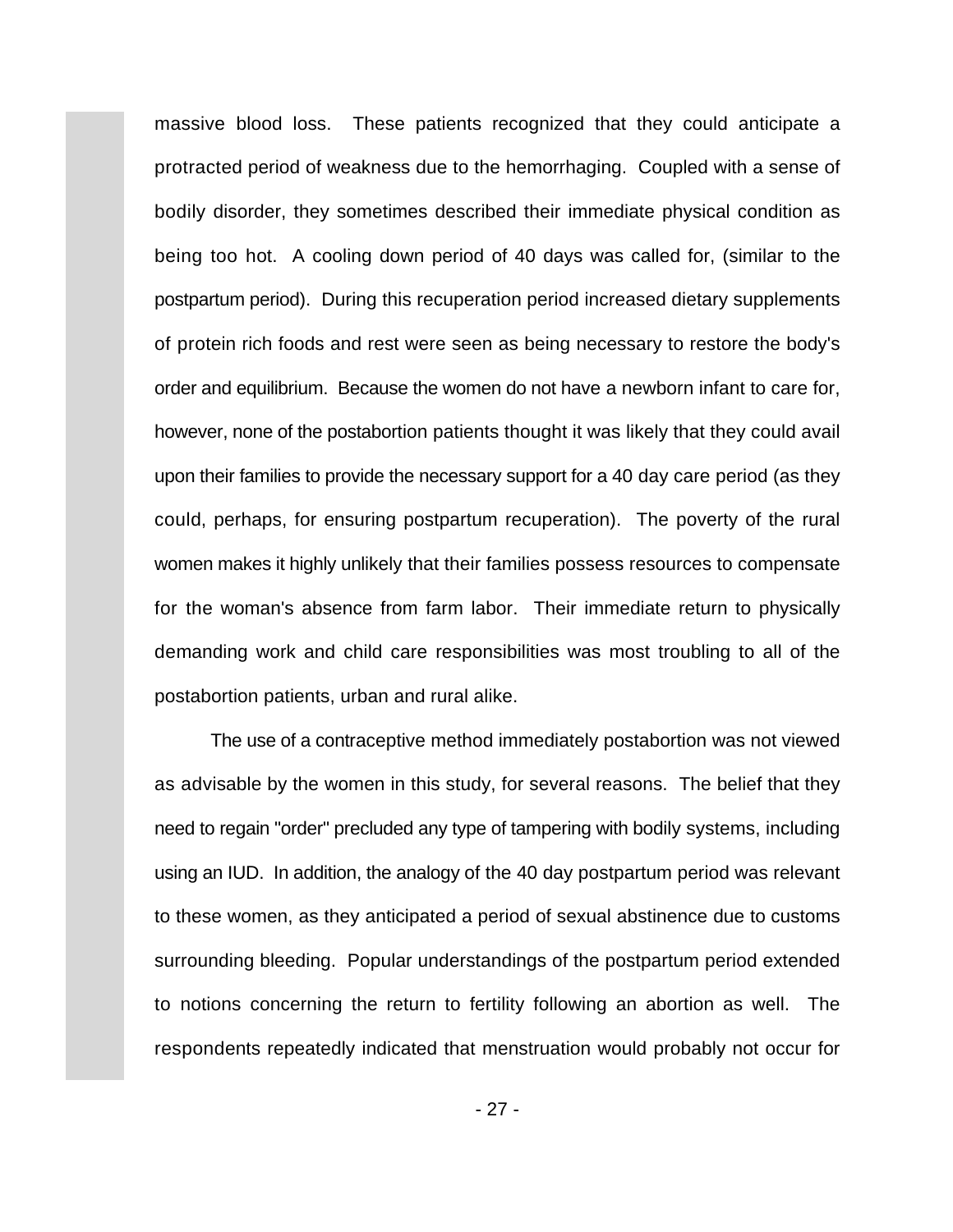massive blood loss. These patients recognized that they could anticipate a protracted period of weakness due to the hemorrhaging. Coupled with a sense of bodily disorder, they sometimes described their immediate physical condition as being too hot. A cooling down period of 40 days was called for, (similar to the postpartum period). During this recuperation period increased dietary supplements of protein rich foods and rest were seen as being necessary to restore the body's order and equilibrium. Because the women do not have a newborn infant to care for, however, none of the postabortion patients thought it was likely that they could avail upon their families to provide the necessary support for a 40 day care period (as they could, perhaps, for ensuring postpartum recuperation). The poverty of the rural women makes it highly unlikely that their families possess resources to compensate for the woman's absence from farm labor. Their immediate return to physically demanding work and child care responsibilities was most troubling to all of the postabortion patients, urban and rural alike.

The use of a contraceptive method immediately postabortion was not viewed as advisable by the women in this study, for several reasons. The belief that they need to regain "order" precluded any type of tampering with bodily systems, including using an IUD. In addition, the analogy of the 40 day postpartum period was relevant to these women, as they anticipated a period of sexual abstinence due to customs surrounding bleeding. Popular understandings of the postpartum period extended to notions concerning the return to fertility following an abortion as well. The respondents repeatedly indicated that menstruation would probably not occur for

- 27 -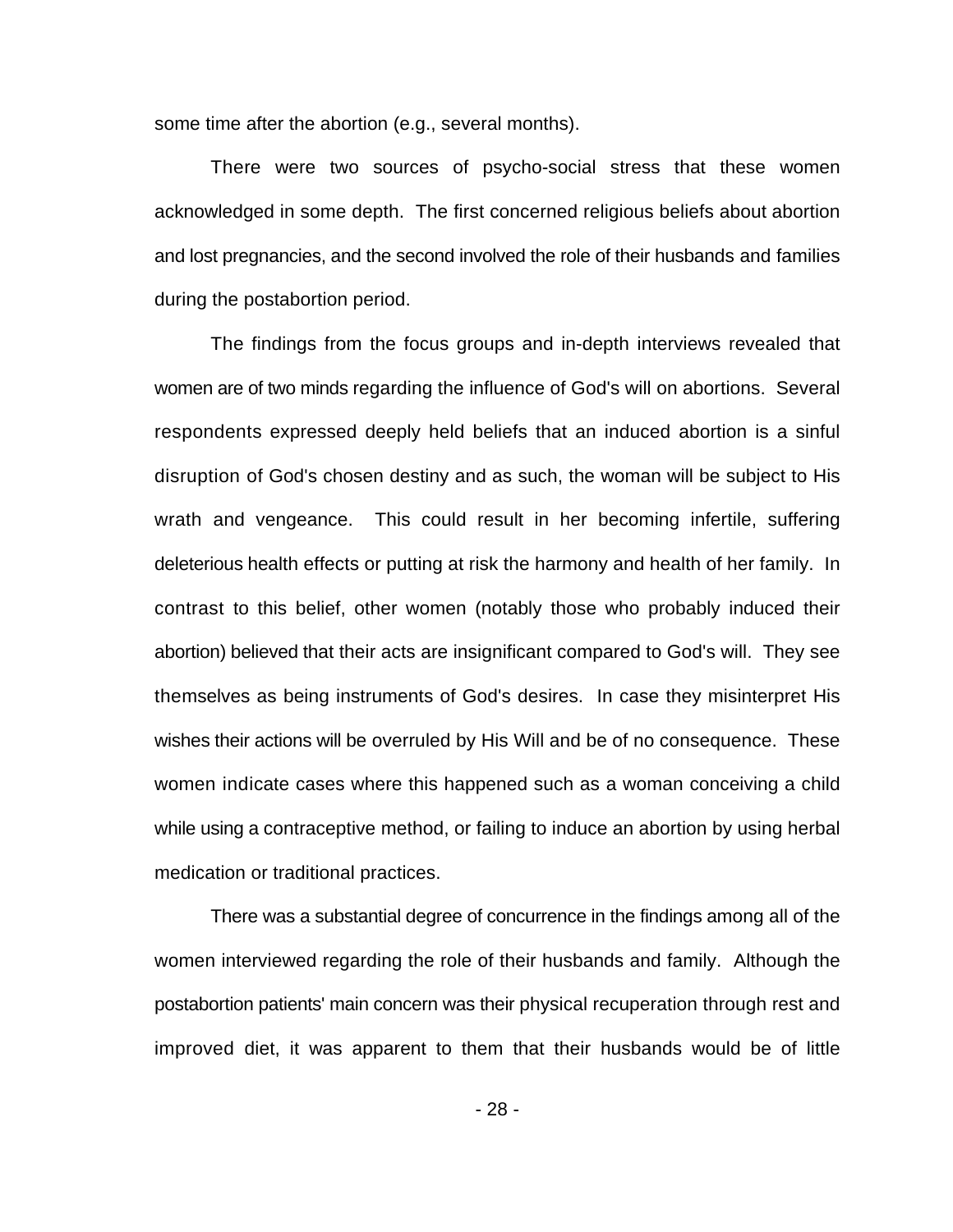some time after the abortion (e.g., several months).

There were two sources of psycho-social stress that these women acknowledged in some depth. The first concerned religious beliefs about abortion and lost pregnancies, and the second involved the role of their husbands and families during the postabortion period.

The findings from the focus groups and in-depth interviews revealed that women are of two minds regarding the influence of God's will on abortions. Several respondents expressed deeply held beliefs that an induced abortion is a sinful disruption of God's chosen destiny and as such, the woman will be subject to His wrath and vengeance. This could result in her becoming infertile, suffering deleterious health effects or putting at risk the harmony and health of her family. In contrast to this belief, other women (notably those who probably induced their abortion) believed that their acts are insignificant compared to God's will. They see themselves as being instruments of God's desires. In case they misinterpret His wishes their actions will be overruled by His Will and be of no consequence. These women indicate cases where this happened such as a woman conceiving a child while using a contraceptive method, or failing to induce an abortion by using herbal medication or traditional practices.

There was a substantial degree of concurrence in the findings among all of the women interviewed regarding the role of their husbands and family. Although the postabortion patients' main concern was their physical recuperation through rest and improved diet, it was apparent to them that their husbands would be of little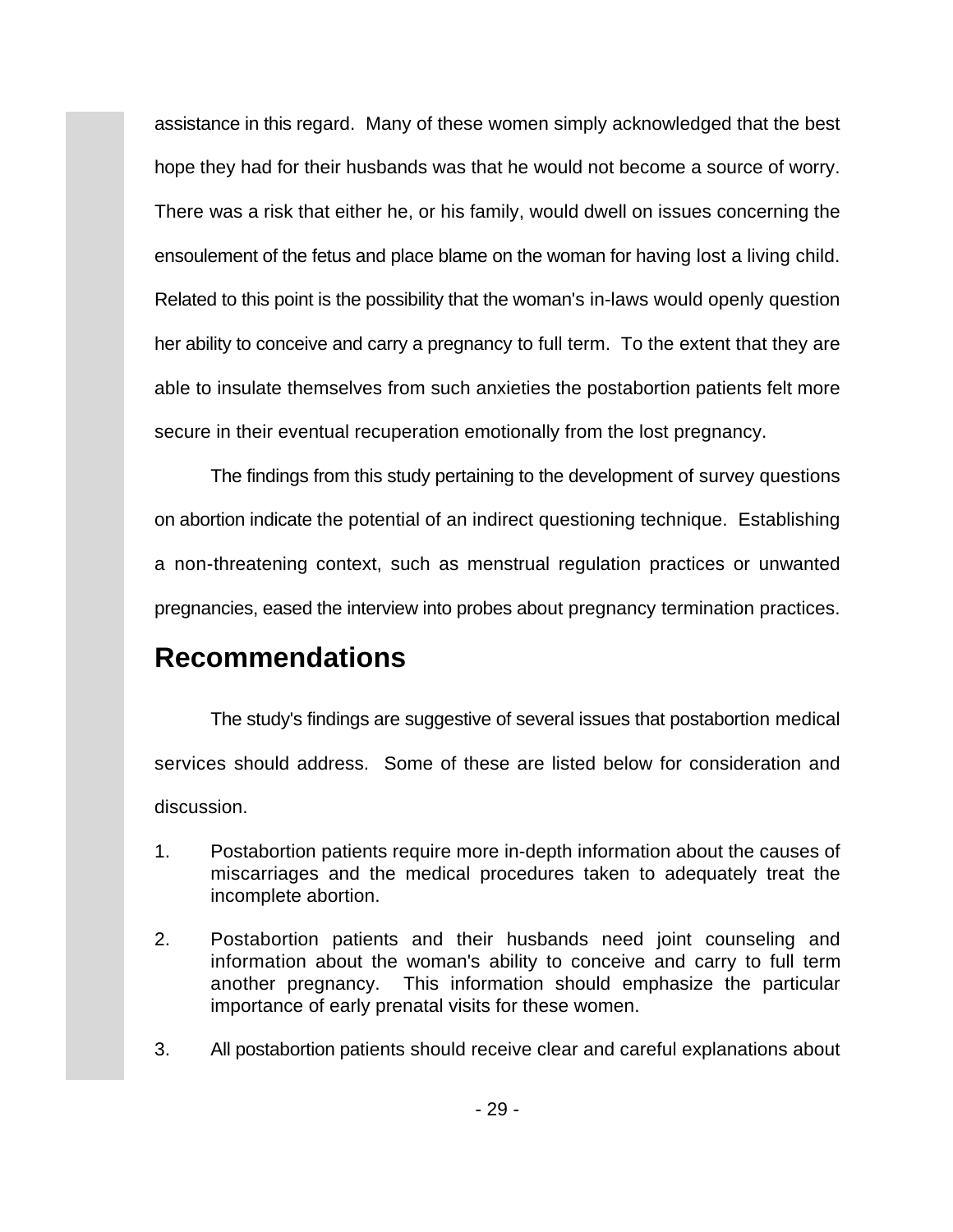assistance in this regard. Many of these women simply acknowledged that the best hope they had for their husbands was that he would not become a source of worry. There was a risk that either he, or his family, would dwell on issues concerning the ensoulement of the fetus and place blame on the woman for having lost a living child. Related to this point is the possibility that the woman's in-laws would openly question her ability to conceive and carry a pregnancy to full term. To the extent that they are able to insulate themselves from such anxieties the postabortion patients felt more secure in their eventual recuperation emotionally from the lost pregnancy.

The findings from this study pertaining to the development of survey questions on abortion indicate the potential of an indirect questioning technique. Establishing a non-threatening context, such as menstrual regulation practices or unwanted pregnancies, eased the interview into probes about pregnancy termination practices.

## **Recommendations**

The study's findings are suggestive of several issues that postabortion medical services should address. Some of these are listed below for consideration and discussion.

- 1. Postabortion patients require more in-depth information about the causes of miscarriages and the medical procedures taken to adequately treat the incomplete abortion.
- 2. Postabortion patients and their husbands need joint counseling and information about the woman's ability to conceive and carry to full term another pregnancy. This information should emphasize the particular importance of early prenatal visits for these women.
- 3. All postabortion patients should receive clear and careful explanations about